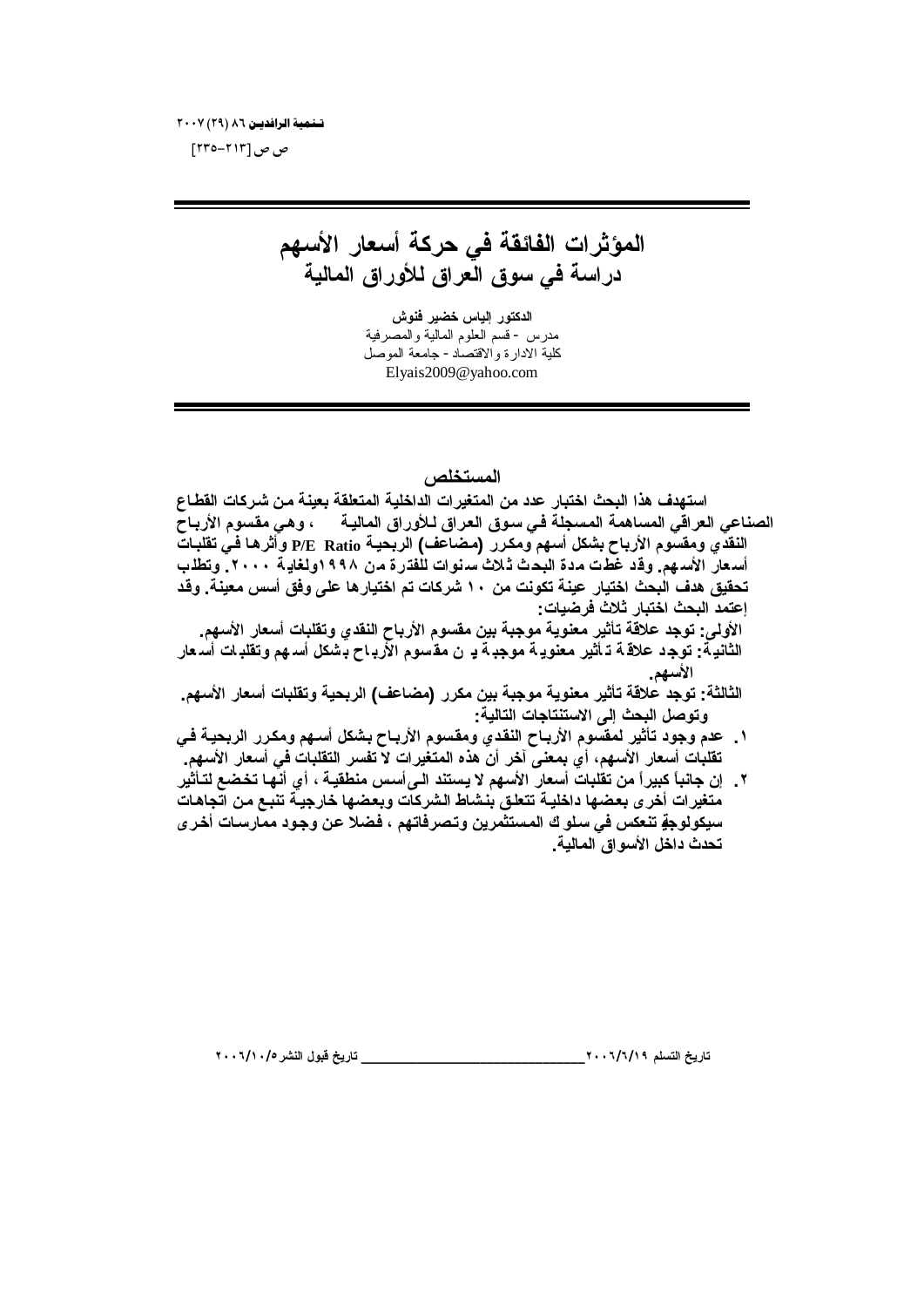تسلمية الرافديين ٨٦ (٢٩) ٢٠٠٧

ص ص [۲۱۳–۲۳۰]

المؤثرات الفائقة في حركة أسعار الأسهم دراسة في سوق العراق للأوراق المالية

الدكتور الياس خضير فنوش مدرس - قسم العلوم المالية والمصرفية كلية الادارة والاقتصاد - جامعة الموصل Elyais2009@yahoo.com

## المستخلص

استهدف هذا البحث اختبار عدد من المتغيرات الداخلية المتعلقة بعينة من شركات القطاع الصناعي العراقي المساهمة المسجلة في سوق العراق لـلأوراق الماليـة ، وهي مقسوم الأربـاح النقدي ومقسوم الأرباح بشكل أسهم ومكرر (مضاعف) الربحية P/E Ratio وأثرها في تقلبات أسعار الأسهم. وقد غطت مدة البحث ثـلاث سنوات للفترة من ١٩٩٨ولغايـة ٢٠٠٠. وتطلب تحقيق هدف البحث اختيار عينة تكونت من ١٠ شركات تم اختيار ها على وفق أسس معينة. وقد إعتمد البحث اختبار ثلاث فرضيات: الأولى: توجد علاقة تأثير معنوية موجبة بين مقسوم الأرباح النقدي وتقلبات أسعار الأسهم. الثانية: توجد علاقة تـ أثير معنويـة موجبـة بـ ن مقسوم الأربـاح بـشكل أسـهم وتقلبـات أسـعار الأسهم. الثالثة: توجد علاقة تأثير معنوية موجبة بين مكرر (مضاعف) الربحية وتقلبات أسعار الأسهم. وتوصل البحث إلى الاستنتاجات التالية: ١ \_ عدم وجود تأثير لمقسوم الأربـاح النقدي ومقسوم الأربـاح بشكل أسـهم ومكـرر الربحيـة فـي تقلبات أسعار الأسهم، أي بمعنى آخر أن هذه المتغيرات لا تفسر التقلبات في أسعار الأسهم. ٢ \_ إن جانباً كبيراً من تقلبات أسعار الأسهم لا يستند الـيiأسس منطقيـة ، أي أنـهـا تخضع لتـأثير متغيرات أخرى بعضها داخلية تتعلق بنشاط الشركات وبعضها خارجية تنبع من اتجاهات سيكولوجةٍ تنعكس في سلو ك المستثمرين وتصرفاتهم ، فضلا عن وجود ممارسات أخر ي تحدث داخل الأسواق المالية ـ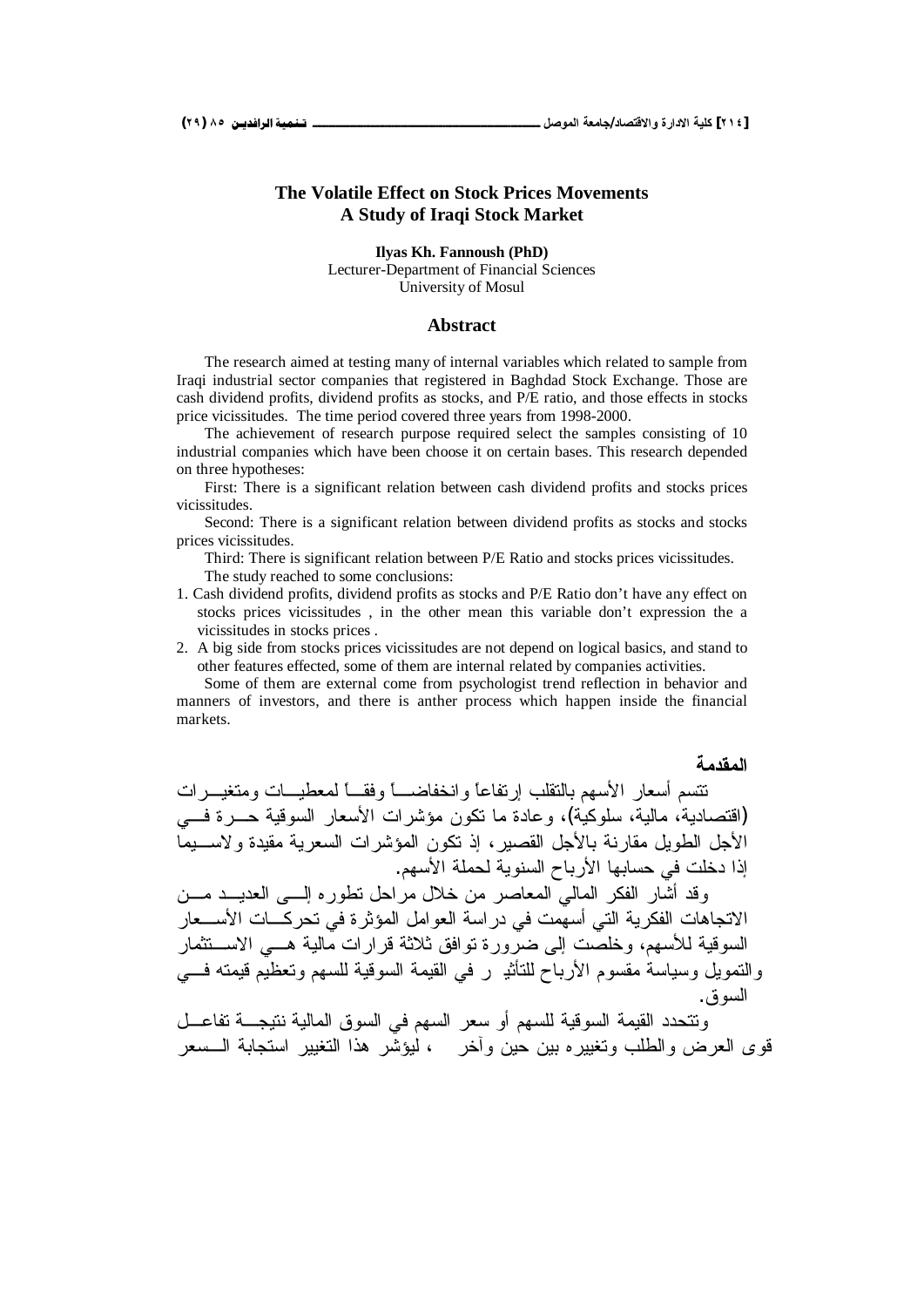#### **The Volatile Effect on Stock Prices Movements A Study of Iraqi Stock Market**

**Ilyas Kh. Fannoush (PhD)** Lecturer-Department of Financial Sciences University of Mosul

#### **Abstract**

The research aimed at testing many of internal variables which related to sample from Iraqi industrial sector companies that registered in Baghdad Stock Exchange. Those are cash dividend profits, dividend profits as stocks, and P/E ratio, and those effects in stocks price vicissitudes. The time period covered three years from 1998-2000.

The achievement of research purpose required select the samples consisting of 10 industrial companies which have been choose it on certain bases. This research depended on three hypotheses:

First: There is a significant relation between cash dividend profits and stocks prices vicissitudes.

Second: There is a significant relation between dividend profits as stocks and stocks prices vicissitudes.

Third: There is significant relation between P/E Ratio and stocks prices vicissitudes.

The study reached to some conclusions:

- 1. Cash dividend profits, dividend profits as stocks and P/E Ratio don't have any effect on stocks prices vicissitudes , in the other mean this variable don't expression the a vicissitudes in stocks prices .
- 2. A big side from stocks prices vicissitudes are not depend on logical basics, and stand to other features effected, some of them are internal related by companies activities.

Some of them are external come from psychologist trend reflection in behavior and manners of investors, and there is anther process which happen inside the financial markets.

المقدمة

تتسم أسعار الأسهم بالتقلب إرتفاعاً وانخفاضـــاً وفقــاً لمعطيـــات ومتغيـــرات (اقتصادية، مالية، سلوكية)، وعادة ما نكون مؤشر ات الأسعار السوقية حــرة فـــ الأجل الطوبل مقارنة بالأجل القصبر ، إذ نكون المؤشر ات السعربة مقبدة ولاســبما إذا دخلت في حسابها الأر باح السنوبة لحملة الأسهم. وقد أشار الفكر المالي للمعاصر من خلال مراحل نطور ه السبي العديسد مسن الاتجاهات الفكرية التي أسهمت في دراسة العوامل المؤثرة في تحركـــات الأســـعار السوقية للأسهم، وخلصت إلى ضرور ة توافق ثلاثة قرار ات مالية هـــ الاســـتثمار والنمويل وسياسة مقسوم الأرباح للتأثب ر في القيمة السوقية للسهم وتعظيم قيمته فـــي السو ق.

ونتحدد القيمة السوقية للسهم أو سعر السهم في السوق المالية نتيجـــة تفاعـــل قوى العرض والطلب وتغيير ه بين حين وآخرٍ مع أيوشّر هذا التغيير استجابة الــسعر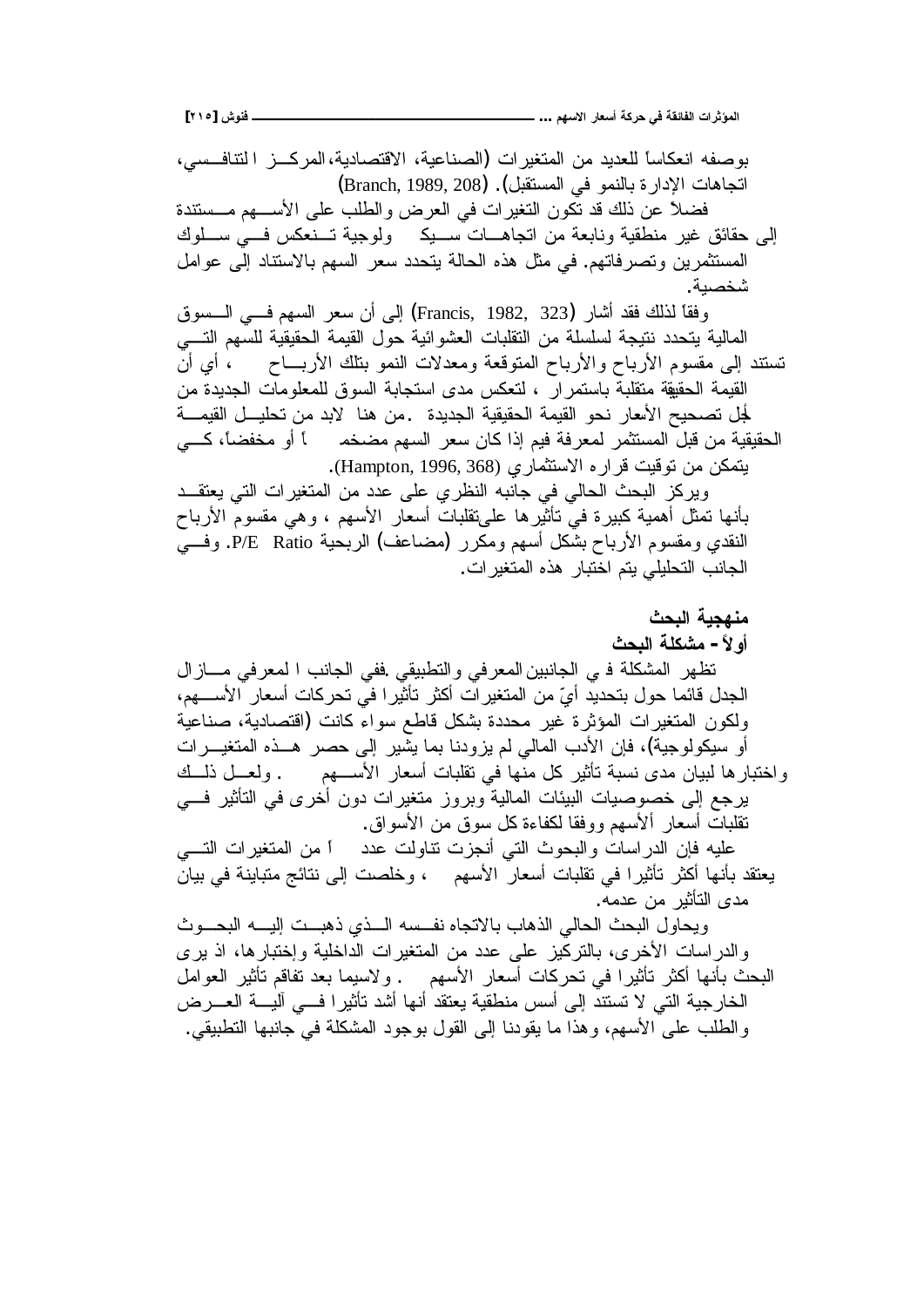**[ÏÎÒ] ūƍƈżººººººººººººººººººººººººººººººººº ...ƅƌŪƙŒŧœŶŪŊŗƂŧšƑżŗƀőœŽƃŒŘŒŧśŌƆƃŒ**

بوصفه انعكاساً للعديد من المتغيرات (الصناعية، الاقتصادية،المركـــز التتافـــسي، اتجاهات الإدارة بالنمو في المستقبل). (Branch, 1989, 208) فضلاً عن ذلك قد تكون التغير ات في العرض والطلب على الأســـهم مـــستندة إلى حقائق غير منطقية ونابعة من اتجاهـــات ســـيك ولوجية تـــنعكس فـــي ســـلوك المستثمرين وتصرفاتهم. في مثل هذه الحالة بتحدد سعر السهم بالاستناد إلى عوامل شخصىة. وفقًا لذلك فقد أشار (Francis, 1982, 323) إلى أن سعر السهم فـــي الــــسوق المالية يتحدد نتيجة لسلسلة من التقلبات العشوائية حول القيمة الحقيقية للسهم التسي تستند إلى مقسوم الأرباح والأرباح المنوقعة ومعدلات النمو بتلك الأربـــاح ، أي أن القيمة الحقيقة متقلبة باستمرار ، لتعكس مدى استجابة السوق للمعلومات الجديدة من لْجلْ تصـحيح الأسعار نحو القيمة الحقيقية الجديدة .من هنا لابد من تحليــل القيمـــة الْحقيقية من قبل المستثمر لمعرفة فيم إذا كان سعر السهم مضخم أو مخفضاً، كـــي . بتمكن من نوفيت فرار ه الاستثمار ي (Hampton, 1996, 368). ويركز البحث الحالي في جانبه النظري على عدد من المتغيرات التي يعتقــد بأنها تمثل أهمية كبيرة في تأثيرها علىتقلبات أسعار الأسهم ، وهي مقسوم الأرباح النقدي ومقسوم الأرباح بشكل أسهم ومكرر (مضاعف) الربحية P/E Ratio. وفسى الجانب التحليلي يتم اختبار هذه المتغير ات. منهجبة البحث أو لأ – مشكلة البحث نظهر المشكلة في الجانبين المعرفي والنطبيقي .ففي الجانب ا لمعرفي مسازال الجدل قائما حول بتحديد أيّ من المتغير ات أكثر تأثيرا في تحركات أسعار الأســـهم، ولكون المتغيرات المؤثرة غير محددة بشكل قاطع سواء كانت (اقتصادية، صناعية أو سيكولوجية)، فإن الأدب المالي لم يزودنا بما يشير إلى حصر هــذه المتغيـــرات واختبارها لببيان مدى نسبة تأثير كل منها في تقلبات أسعار الأســـهم . ولعـــل ذلـــك برجع إلى خصوصيات البيئات المالية وبروز متغيرات دون أخرى في التأثير فـــي نقلبات أسعار ألأسهم ووفقا لكفاءة كل سوق من الأسواق. عليه فإن الدراسات والبحوث التبى أنجزت نتاولت عدد أ من المتغيرات النسبي يعتقد بأنها أكثر تأثيرا في تقلبات أسعار الأسهم ، وخلصت إلى نتائج متباينة في بيان مدى التأثير ًمن عدمه. ويحاول البحث الحالي الذهاب بالاتجاه نفسه السذي ذهبت إليه البحسوث والدراسات الأخرى، بالتركيز على عدد من المنغيرات الداخلية وإختبارها، اذ يرى البحث بأنها أكثر تأثيرا في تحركات أسعار الأسهم . ولاسيما بعد نفاقم تأثير العوامل الخارجية التي لا تستند إلى أسس منطقية يعتقد أنها أشد تأثيرا فـــي أليــــة العــــرض والطلب على الأسهم، وهذا ما يقودنا إلى القول بوجود المشكلة في جانبها التطبيقي.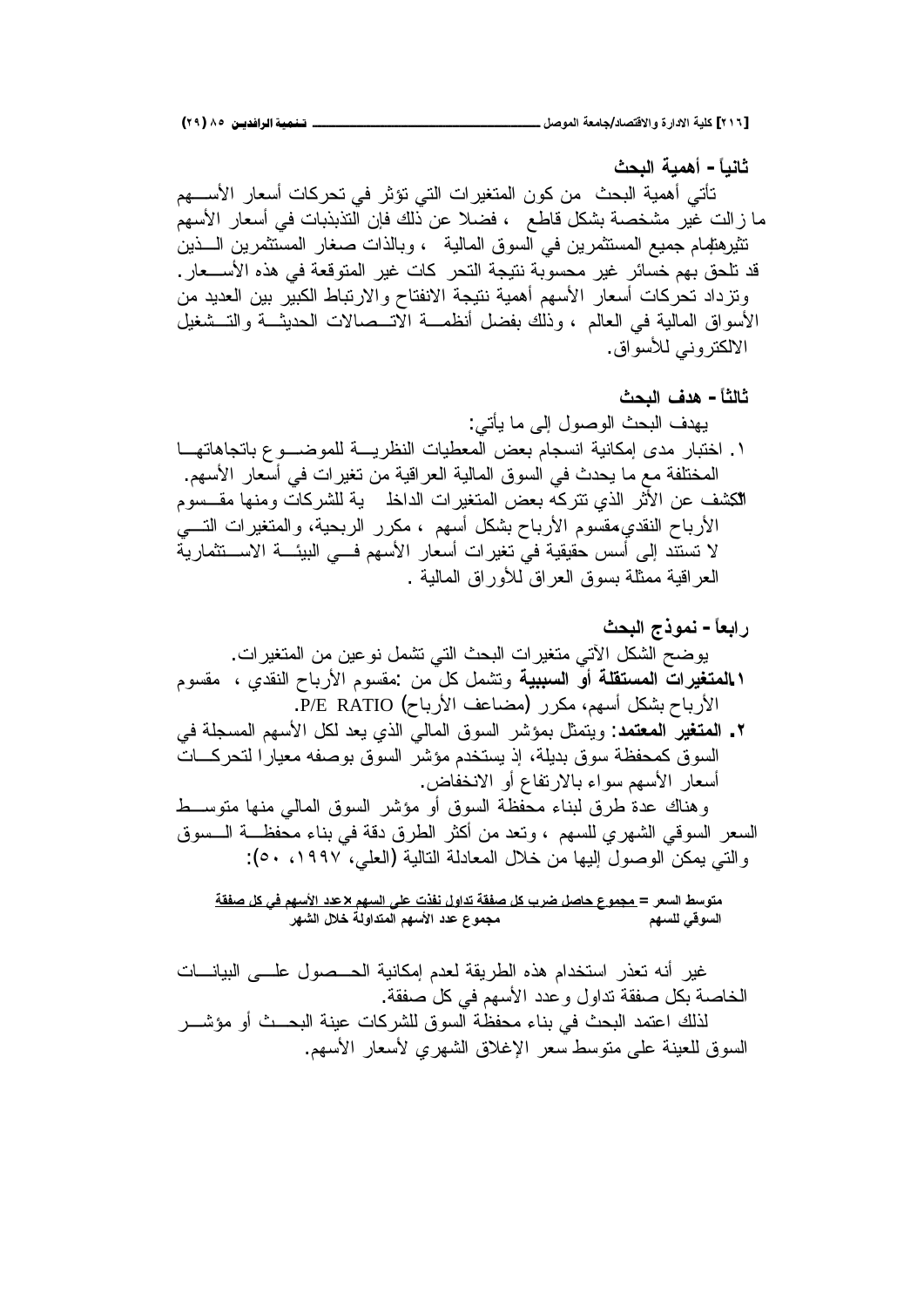**ŚšŕƃŒŗƒƆƋŊ -Ĺœƒƈœś** نأتي أهمية البحث من كون المنغيرات التي تؤثر في تحركات أسعار الأســـهم ما زالت غير مشخصة بشكل قاطع ، فضلا عن ذلك فإن النذبذبات في أسعار الأسهم نثيرهنهام جميع المستثمرين في السوق المالية ، وبالذات صغار المستثمرين الـــذين قد نلحق بهم خسائر غير محسوبة نتيجة النحر كات غير المتوقعة في هذه الأســـعار . ونزداد تحركات أسعار الأسهم أهمية نتيجة الانفتاح والارتباط الكبير بين العديد من الأسواق المالية في العالم ، وذلك بفضل أنظمـــة الاتـــصـالات الحديثـــة والتـــشغيل الألكتر و نبي للأسو اق.

**ŚšŕƃŒŻťƋ -Ĺœśƃœś** :ƓśōƔŕƈƑƅŏ¿ƏŰƏƅŔŜţŗƅŔŽŧƎƔ ŕ»Ǝśŕƍ੶ŕŗŵƏ»ŲƏƈƆƅř»ƔũŴƊƅŔŚŕƔųŸƈƅŔűŸŗƇŕŠŬƊŔřƔƊŕƄƈŏƐŧƈũŕŗśŦŔ .Ï .ƇƎŬƗŔũŕŸŬŌƓžŚŔũƔżśƉƈřƔƁŔũŸƅŔřƔƅŕƈƅŔƀƏŬƅŔƓžŜŧţƔŕƈŶƈřſƆśŦƈƅŔ ƇƏŬ»ƂƈŕƎƊƈƏŚŕƄũŮƆƅřƔ ƆŦŔŧƅŔŚŔũƔżśƈƅŔűŸŗƌƄũśśƒŨƅŔũŝƗŔƉŷŽŮƄƅŔ .Ð Ɠ»śƅŔŚŔũƔżśƈƅŔƏ řƔţŗũƅŔũũƄƈ ƇƎŬŌ¿ƄŮŗšŕŗũƗŔƇƏŬƂƈ ƒŧƂƊƅŔšŕŗũƗŔ řƔũŕƈŝś»ŬƛŔř»œƔŗƅŔƓ»žƇƎŬƗŔũŕŸŬŌŚŔũƔżśƓžřƔƂƔƂţūŬŌƑƅŏŧƊśŬśƛ .řƔƅŕƈƅŔƀŔũƏƘƅƀŔũŸƅŔƀƏŬŗřƆŝƈƈřƔƁŔũŸƅŔ

**ŚšŕƃŒŜŦƍƆƈ -ĹœŶŕŒŧ** .ŚŔũƔżśƈƅŔƉƈƉƔŷƏƊ¿ƈŮśƓśƅŔŜţŗƅŔŚŔũƔżśƈƓśƕŔ¿ƄŮƅŔŢŲƏƔ ƇƏŬƂƈ ƒŧƂƊƅŔšŕŗũƗŔƇƏŬƂƈ: Ɖƈ¿Ƅ¿ƈŮśƏ **ŗƒŕŕŪƃŒƍŊŗƄƀřŪƆƃŒŘŒŧƒźřƆƃŒ .Î** .P/E RATIO (šŕŗũƗŔŽŷŕŲƈ) ũũƄƈƇƎŬŌ¿ƄŮŗšŕŗũƗŔ ƓžřƆŠŬƈƅŔƇƎŬƗŔ¿ƄƅŧŸƔƒŨƅŔƓƅŕƈƅŔƀƏŬƅŔũŮŎƈŗ¿ŝƈśƔƏ :**ťƆřŶƆƃŒŧƒźřƆƃŒ .Ï** Śŕ»ƄũţśƅŔũŕƔŸƈƌſŰƏŗƀƏŬƅŔũŮŎƈƇŧŦśŬƔŨŏ řƆƔŧŗ ƀƏŬřŴſţƈƄƀƏŬƅŔ .űŕſŦƊƛŔƏŌŵŕſśũƛŕŗ'nŔƏŬƇƎŬƗŔũŕŸŬŌ ų»ŬƏśƈŕƎƊƈƓƅŕƈƅŔƀƏŬƅŔũŮŎƈƏŌƀƏŬƅŔřŴſţƈ'nŕƊŗƅƀũųŘŧŷƃŕƊƍƏ ƀƏŬ»ƅŔř»Ŵſţƈ'nŕƊŗƓžřƁŧƀũųƅŔũŝƄŌƉƈŧŸśƏ ƇƎŬƆƅƒũƎŮƅŔƓƁƏŬƅŔũŸŬƅŔ :(ÓÎÏ××Õ ƓƆŸƅŔ)řƔƅŕśƅŔřƅŧŕŸƈƅŔ¿ƜŦƉƈŕƎƔƅŏ¿ƏŰƏƅŔƉƄƈƔƓśƅŔƏ **ŗƀŽŮ¾ƂƑżƅƌŪƕŒťťŵ×ƅƌŪƃŒƏƄŵŘŦŽƈ¾ƍŒťřŗƀŽŮ¾ƂŔŧŰ¾ŮœšųƍƆŞƆ =ŧŶŪƃŒűŪƍřƆ ŧƌŬƃŒ¾ƚŤŗƃƍŒťřƆƃŒƅƌŪƕŒťťŵųƍƆŞƆ ƅƌŪƄƃƑſƍŪƃŒ**

غير أنه تعذر استخدام هذه الطريقة لعدم إمكانية الحـــصول علــــي البيانــــات الخاصنة بكل صفقة تداول وعدد الأسهم في كل صفقة. لذلك اعتمد البحث في بناء محفظة السوق للشركات عينة البحــث أو مؤشـــر السوق للعينة على متوسط سعر الإغلاق الشهرى لأسعار الأسهم.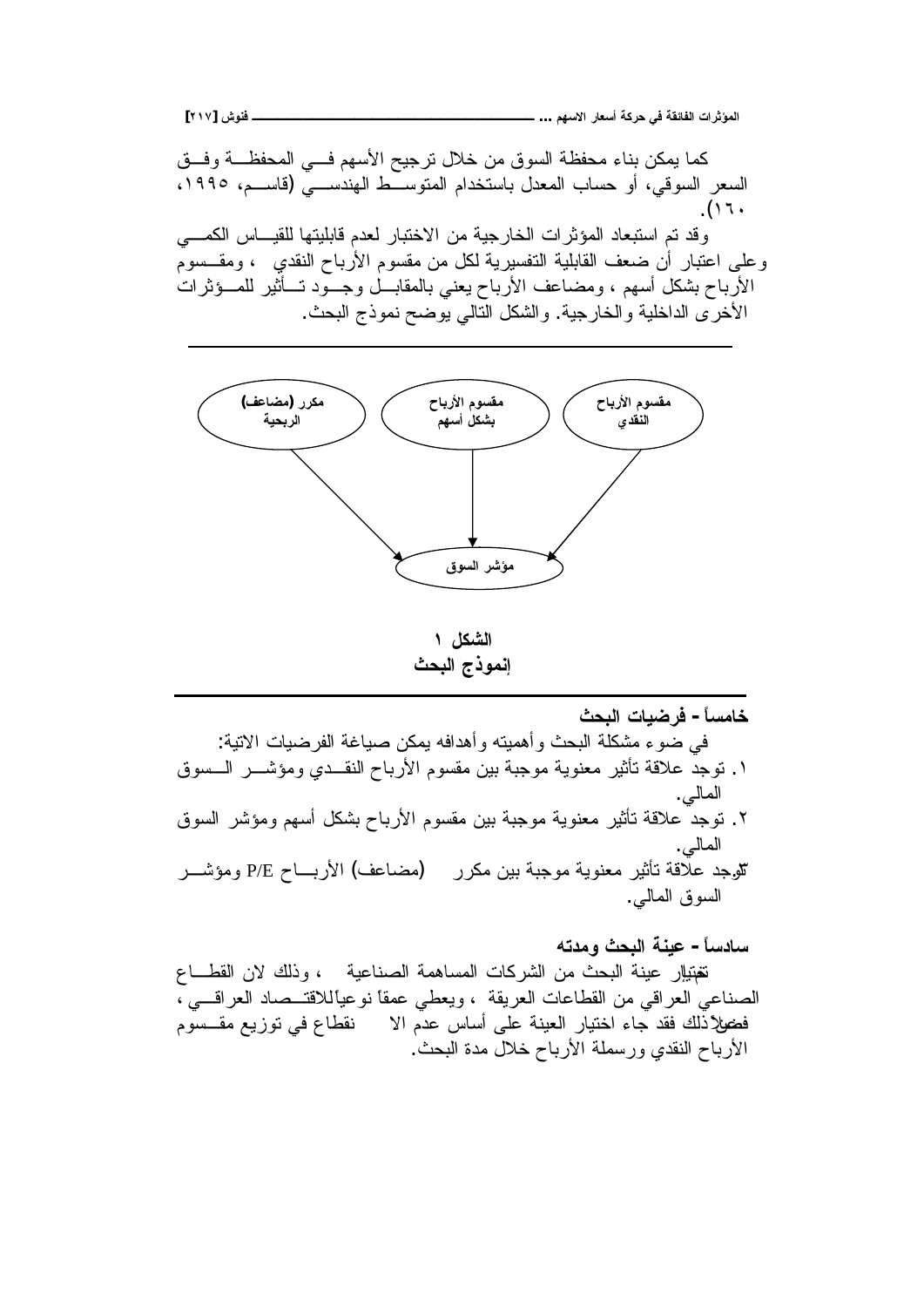

الشكل ١ إنموذج البحث

خامساً - فرضيات البحث في ضوء مشكلة البحث وأهميته وأهدافه بمكن صياغة الفرضيات الاتية: ١. نوجدُّ علاقة نأثير معنوية موجبة بين مقسوم الأرباح النقــدي ومؤشـــر الـــسوق المالي. ٢. نوجدٌ علاقة نأثير معنوية موجبة بين مقسوم الأرباح بشكل أسهم ومؤشر السوق المالبي. تثوجد علاقة تأثير معنوية موجبة بين مكرر (مضاعف) الأربـــاح P/E ومؤشـــر السوق المالبي.

# سادساً- عينة البحث ومدته

تغتيالٍ عينة البحث من الشركات المساهمة الصناعية ، وذلك لان القطـــاع الصناعي العراقي من القطاعات العريقة ، ويعطى عمقًا نوعياًللاقتــصـاد العراقـــي ، فضلاً ذَّلك فقد جاء اختيار العينة على أساس عدَّم الا نقطاع في توزيع مقـــسوم الأرباح النقدي ورسملة الأرباح خلال مدة البحث.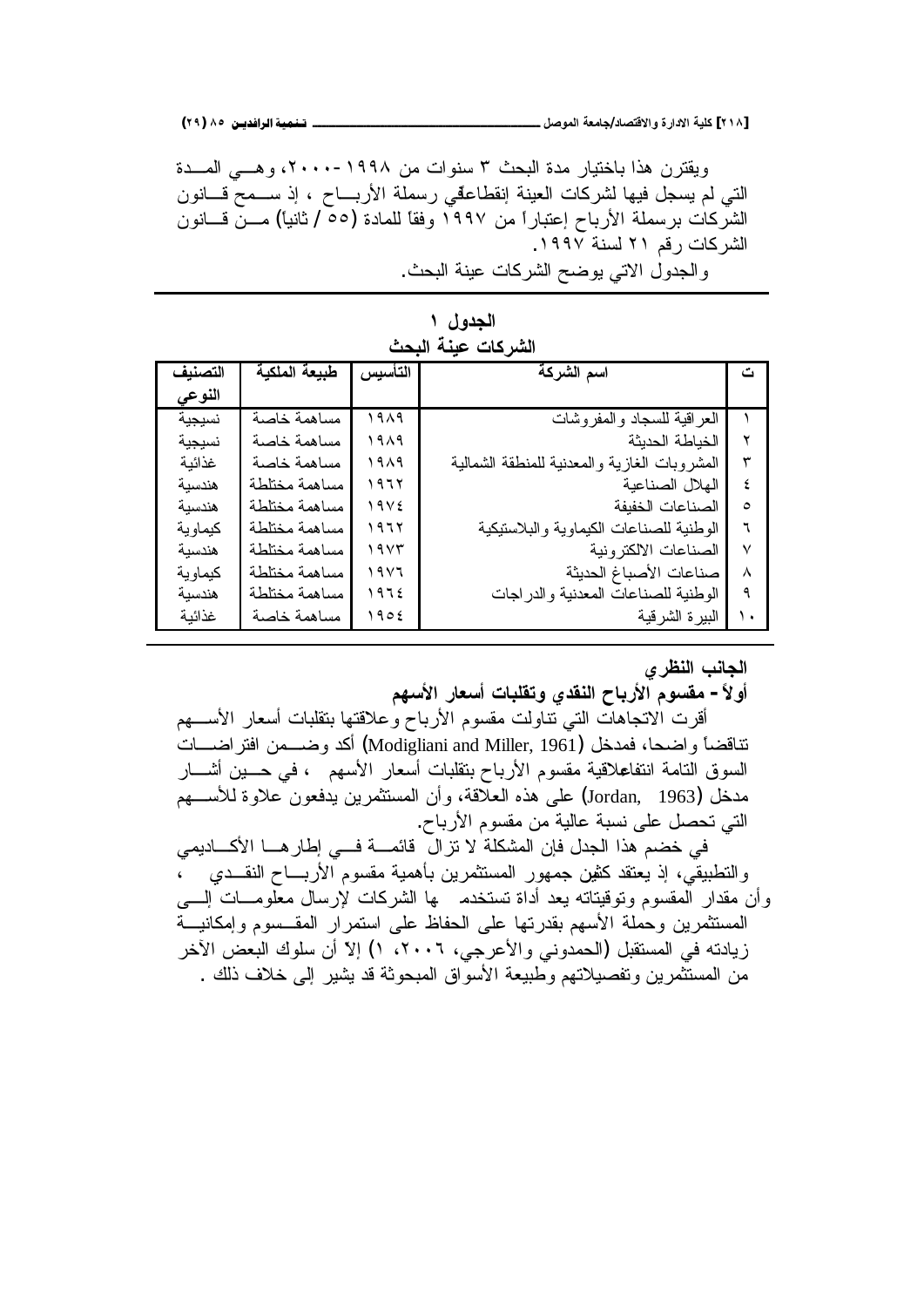ويقترن هذا باختيار مدة البحث ٣ سنوات من ١٩٩٨-٢٠٠٠، وهــي المـــدة التي لم يسجل فيها لشركات العينة إنقطاعقي رسملة الأربـــاح ، إذ ســـمح قـــانون الشركات برسملة الأرباح إعتباراً من ١٩٩٧ وفقاً للمادة (٥٥ / ثانياً) مـــنّ فـــانون الشركات رقم ٢١ لسنة ١٩٩٧. والجدول الاتي يوضح الشركات عينة البحث.

| الجدول ۱ |                    |
|----------|--------------------|
|          | الشركات عينة البحث |

| التصنيف | طبيعة الملكية | التأسيس          | اسم الشركة                                   |           |
|---------|---------------|------------------|----------------------------------------------|-----------|
| النوعى  |               |                  |                                              |           |
| نسيجية  | مساهمة خاصة   | ۱۹۸۹             | العر اقية للسجاد والمفروشات                  |           |
| نسيجية  | مساهمة خاصة   | ۱۹۸۹             | الخياطة الحديثة                              | ۲         |
| غذائبة  | مساهمة خاصة   | ۱۹۸۹             | المشروبات الغازية والمعدنية للمنطقة الشمالية | ٣         |
| هندسبة  | مساهمة مختلطة | ۱۹٦۲             | الهلال الصناعية                              | ٤         |
| هندسبة  | مساهمة مختلطة | 19V <sub>2</sub> | الصناعات الخفبفة                             | $\circ$   |
| كيماوية | مساهمة مختلطة | ۱۹٦۲             | الو طنية للصناعات الكيماوية و البلاستيكية    | ٦         |
| هندسبة  | مساهمة مختلطة | ۱۹۷۳             | الصناعات الالكترونية                         | $\vee$    |
| كيماوية | مساهمة مختلطة | ۱۹۷٦             | صناعات الأصباغ الحديثة                       | $\lambda$ |
| هندسبة  | مساهمة مختلطة | 1972             | الوطنية للصناعات المعدنية والدراجات          | ٩         |
| غذائنة  | مساهمة خاصة   | 1902             | البير ة الشرقية                              |           |

الجانب النظر *ي* 

أولاً – مقسوم الأرباح النقدي وتقلبات أسعار الأسهم

أقرت الاتجاهات التبي نتاولت مقسوم الأرباح وعلاقتها بتقلبات أسعار الأســـهم تناقضاً واضحا، فمدخل (Modigliani and Miller, 1961) أكد وضـــمن افتراضــــات السوق النامة انتفاعلاقية مقسوم الأرباح بنقلبات أسعار الأسهم ، في حـــين أشـــار مدخل (Jordan, 1963) على هذه العلاقة، وأن المستثمرين يدفعون علاوة للأســـهم التي تحصل على نسبة عالية من مقسوم الأرباح.

في خضم هذا الجدل فإن المشكلة لا تزال قائمـــة فـــي إطار هـــا الأكــــاديمي والتطبيقي، إذ يعتقد كثين جمهور المستثمرين بأهمية مقسوم الأربـــاح النقـــدي ٪، وأن مقدار المقسوم وتوقيتاته يعد أداة تستخدم ها الشركات لإرسال معلومـــات الســى المستثمرين وحملة الأسهم بقدرتها على الحفاظ على استمرار المقــسوم وإمكانيـــة زيادته في المستقبل (الحمدوني والأعرجي، ٢٠٠٦، ١) إلاّ أن سلوك البعض الآخر من المستثَّمر بن و تفصيلاتهم و طبيعة الأسوَّاق المبحوثة قد بشير (لي خلاف ذلك .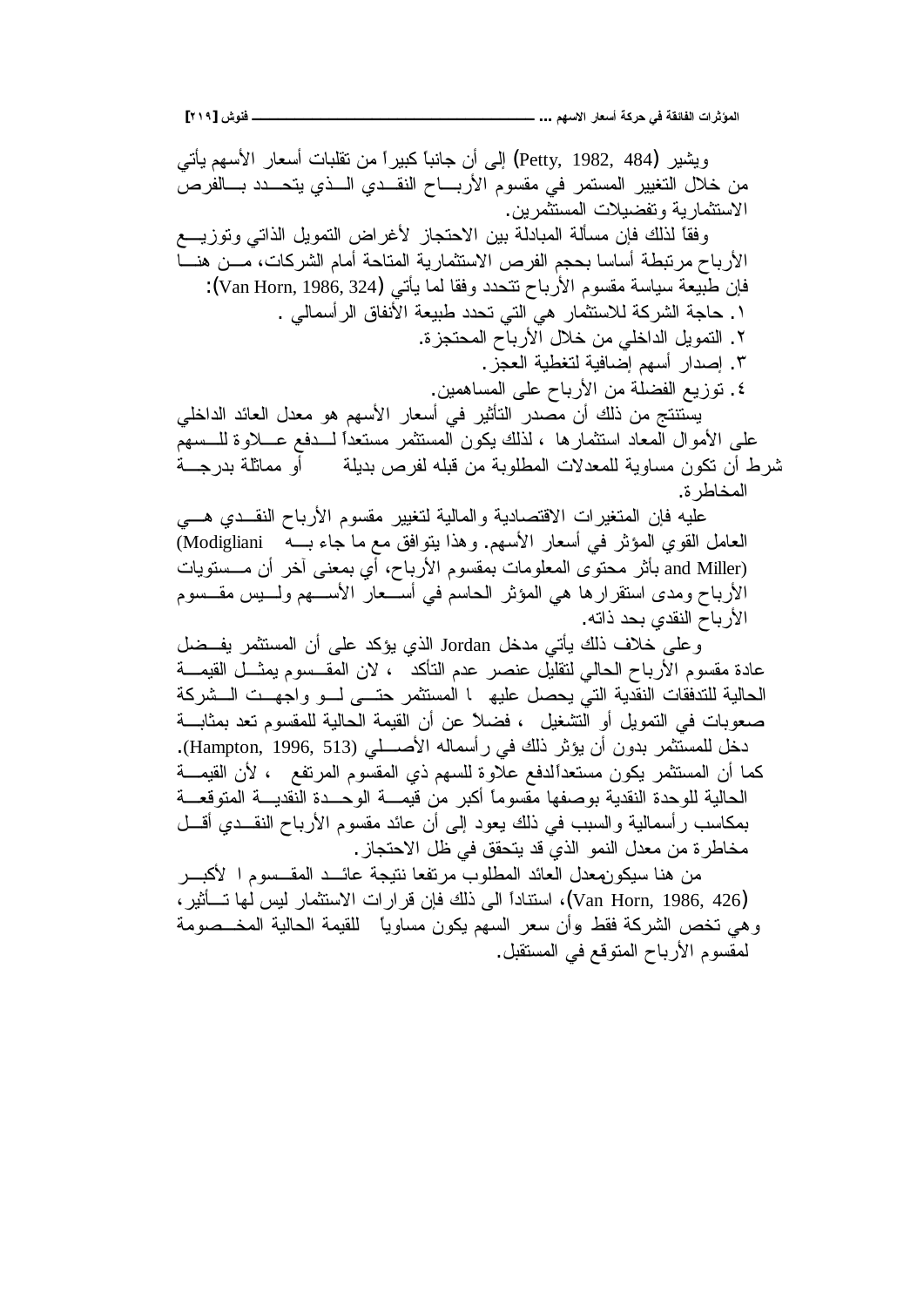ويشير (Petty, 1982, 484) إلى أن جانبا كبيراً من نقلبات أسعار الأسهم يأتي من خلال التغيير المستمر في مقسوم الأربـــاح النقــدي الـــذي يتحـــدد بـــالفرصُ الاستثمارية وتفضيلات المستثمرين. وفقًا لذلك فإن مسألة المبادلة ببين الاحتجاز لأغراض النمويل الذاتي وتوزيـــع الأرباح مرنبطة أساسا بحجم الفرص الاستثمارية المتاحة أمام الشركات، مـــن هنــــا فإن طبيعة سياسة مقسوم الأرباح نتحدد وفقا لما يأتي (Van Horn, 1986, 324): ا . حاجة الشركة للاستثمار هي التي تحدد طبيعة الأنفاق الرأسمالي . ٢. التمويل الداخلي من خلال الأرباح المحتجزة. ٣. اِصدار أسهم اِضافية لتغطية العجز . ٤. نوزيع الفضلة من الأرباح على المساهمين. يستتتج من ذلك أن مصدر التأثير في أسعار الأسهم هو معدل العائد الداخلي على الأموال المعاد استثمارها ، لذلك يكون المستثمر مستعدا لـــدفع عـــلاوة للـــسهم شرط أن تكون مساوية للمعدلات المطلوبة من قبله لفرص بديلة أو مماثلة بدرجـــة المخاطر ة. عليه فإن المتغيرات الاقتصادية والمالية لتغيير مقسوم الأرباح النقــدي هـــي العامل القوي المؤثر في أسعار الأسهم. وهذا يتوافق مع ما جاء بـــه Modigliani) and Miller) بأثر محتوى المعلومات بمقسوم الأرباح، أي بمعنى أخر أن مـــستويات الأرباح ومدى استقرارها هي المؤثر الحاسم في أســعار الأســـهم ولــــبس مقـــسوم الأر باح النقد*ى* بحد ذاته. وعلى خلاف ذلك يأتي مدخل Jordan الذي يؤكد على أن المستثمر يفــضل عادة مقسوم الأرباح الحالي لنقليل عنصر عدم النأكد ، لان المقــسوم يمثــل القيمـــة الحالية للتدفقات النقدية التي يحصل عليه ا المستثمر حتـــى لـــو واجهــت الـــشركة صعوبات في التمويل أو التشغيل ، فضلاً عن أن القيمة الحالية للمقسوم نعد بمثابـــة دخل للمستثمر بدون أن يؤثر ذلك في رأسماله الأصطبي (Hampton, 1996, 513). كما أن المستثمر يكون مستعدالدفع علاوة للسهم ذي المقسوم المرتفع ، لأن القيمـــة الحالية للوحدة النقدية بوصفها مقسوما أكبر من قيمـــة الوحـــدة النقديـــة المنوقعـــة بمكاسب رأسمالية والسبب في ذلك يعود إلىي أن عائد مقسوم الأرباح النقـــدي أقـــل مخاطرة من معدل النمو الذي قد يتحقق في ظل الاحتجاز . من هنا سيكونهعدل العائد المطلوب مرتفعا نتيجة عائـــد المقـــسوم ا لأكبـــر ũƔŝō»śŕƎƅūƔƅũŕƈŝśŬƛŔŚŔũŔũƁƉŐžƃƅŨ ƑƅŔĻŔŧŕƊśŬŔ(Van Horn, 1986, 426) وهي تخص الشركة فقط وأن سعر السهم يكون مساوياً للقيمة الحالية المخـــصومة لمقسوم الأرباح المتوقع في المستقبل.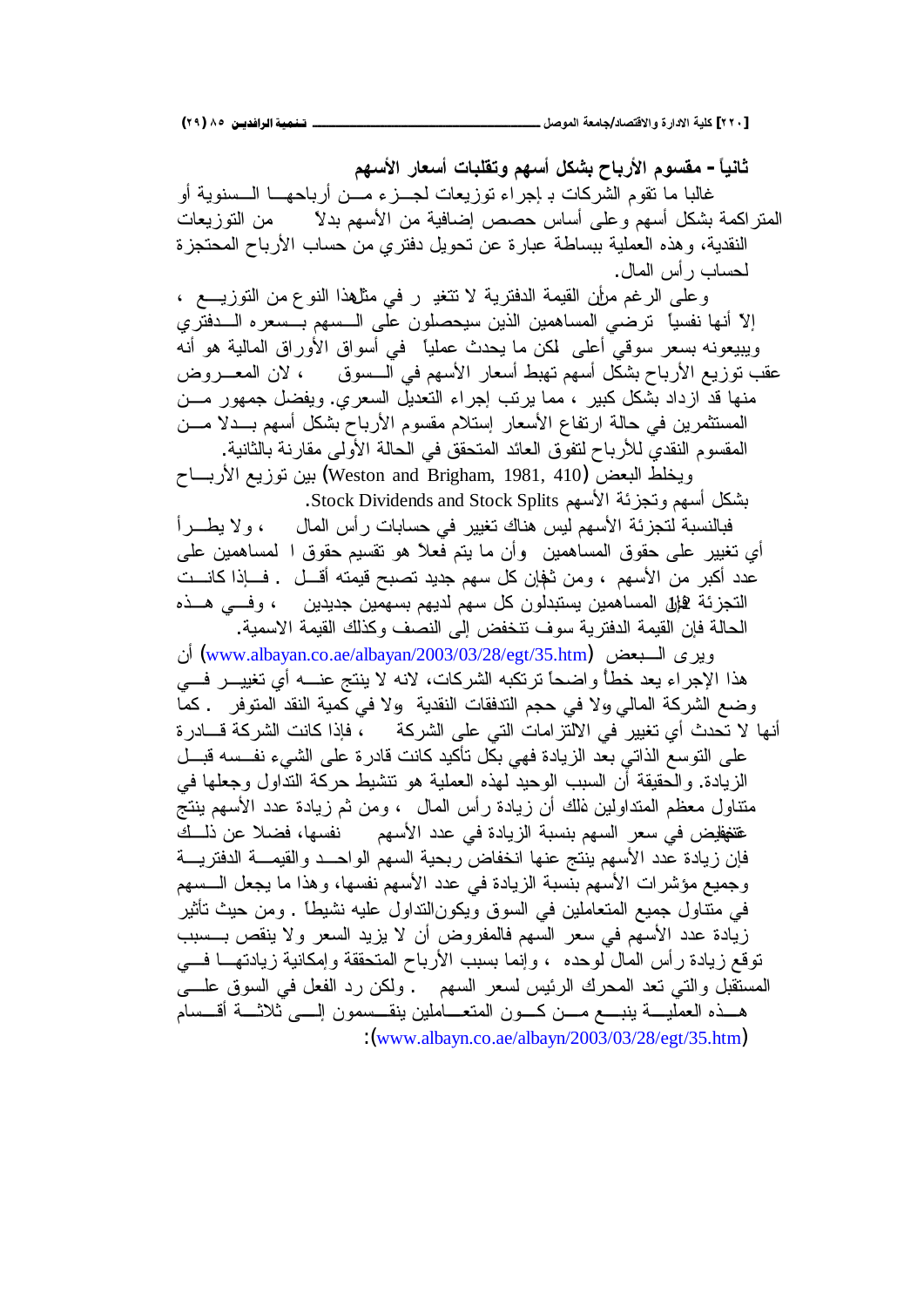ثانياً – مقسوم الأرباح بشكل أسهم وتقلبات أسعار الأسهم غالبا ما نقوم الشركات بـ إجراء نوزيعات لجـــزء مــــن أرباحهــــا الــــسنويـة أو الْمَتْرِ اكمة بشكل أسهم وعلى أساس حصص إضافية من الأسهم بدلا من التوزيعات النقدية، وهذه العملية ببساطة عبارة عن نحويل دفتري من حساب الأرباح المحتجزة لحساب ر أس المال. وعلى الرغم مرأن القيمة الدفترية لا تتغير في مثلهذا النوع من التوزيــع ، إلاّ أنها نفسياً ترضي المساهمين الذين سيحصلون على الـــسهم بـــسعره الــــدفتري ويبيعونه بسعر سوقي أعلى لمكن ما يحدث عملياً في أسواق الأوراق المالية هو أنه عقب توزيع الأرباح بشكل أسهم تهبط أسعار الأسهم في الـــسوق ، لان المعـــروض منها قد ازداد بشكل كبير ، مما يرتب إجراء التعديل السعرى. ويفضل جمهور مـــن المستثمرين في حالة ارتفاع الأسعار إستلام مقسوم الأرباح بشكل أسهم بــدلا مـــن المقسوم النقدي للأرباح لنفوق العائد المنحقق في الحالة الأولى مقارنة بالثانية. ويخلط البعض (Weston and Brigham, 1981, 410) بين توزيع الأربساح بشكل أسهم وتجزئة الأسهم Stock Dividends and Stock Splits. فبالنسبة لنجزئة الأسهم ليس هناك نغيير في حسابات رأس المال ، ولا يطـــرأ أي نغيير على حقوق المساهمين وأن ما يتم فعلاً هو نقسيم حقوق ا لمساهمين على عدد أكبر من الأسهم ، ومن ثغانٍ كل سهم جديد تصبح قيمته أقسل . فسإذا كانست التجزئة £إل المساهمين يستبدلون كل سهم لديهم بسهمين جديدين ، وفـــي هـــذه الحالة فإن القيمة الدفترية سوف نتخفض إلى النصف وكذلك القيمة الاسمية. ويرى السبعض ([www.albayan.co.ae/albayan/2003/03/28/egt/35.htm](http://www.albayan.co.ae/albayan/2003/03/28/egt/35.htm)) أن هذا الإجراء يعد خطأ و اضحاً نرتكبه الشركات، لانه لا ينتج عنــــه أي تغييــــر فــــي وضع الشركة المالي والا في حجم التدفقات النقدية والا في كمية النقد المتوفر . كما أنها لا تحدث أي تغيير في الالتزامات التي على الشركة ، فإذا كانت الشركة قـــادر ة على التوسع الذاتي بعد الزيادة فهي بكل تأكيد كانت قادرة على الشيء نفــسه قبــل الزيادة. والحقيقة أن السبب الوحيد لمهذه العملية هو تتشيط حركة النداول وجعلها في متناول معظم المتداولين فالك أن زيادة رأس المال ، ومن ثم زيادة عدد الأسهم بنتج غتغفليض في سعر السهم بنسبة الزيادة في عدد الأسهم نفسها، فضلا عن ذلــك فإن زيادة عدد الأسهم ينتج عنها انخفاض ربحية السهم الواحــد والقيمـــة الدفتريـــة وجميع مؤشرات الأسهم بنسبة الزيادة في عدد الأسهم نفسها، وهذا ما يجعل السسهم في منّتاول جميع المتعاملين في السوق ويكونالنداول عليه نشيطاً . ومن حيث تأثير زيادة عدد الأسهم في سعر السهم فالمفروض أن لا يزيد السعر ولا ينقص بـــسبب نوفع زيادة رأس المال لوحده ، وإنما بسبب الأرباح المتحققة وإمكانية زيادتهـــا فـــي المستقبل والتي تعد المحرك الرئيس لسعر السهم . ولكن رد الفعل في السوق علــــى هــذه العمليــــة بنبــــع مــــن كــــون المتعــــاملين بنقـــسمون إلـــــي ثلاثــــة أقــــسام :([www.albayn.co.ae/albayn/2003/03/28/egt/35.htm](http://www.albayn.co.ae/albayn/2003/03/28/egt/35.htm))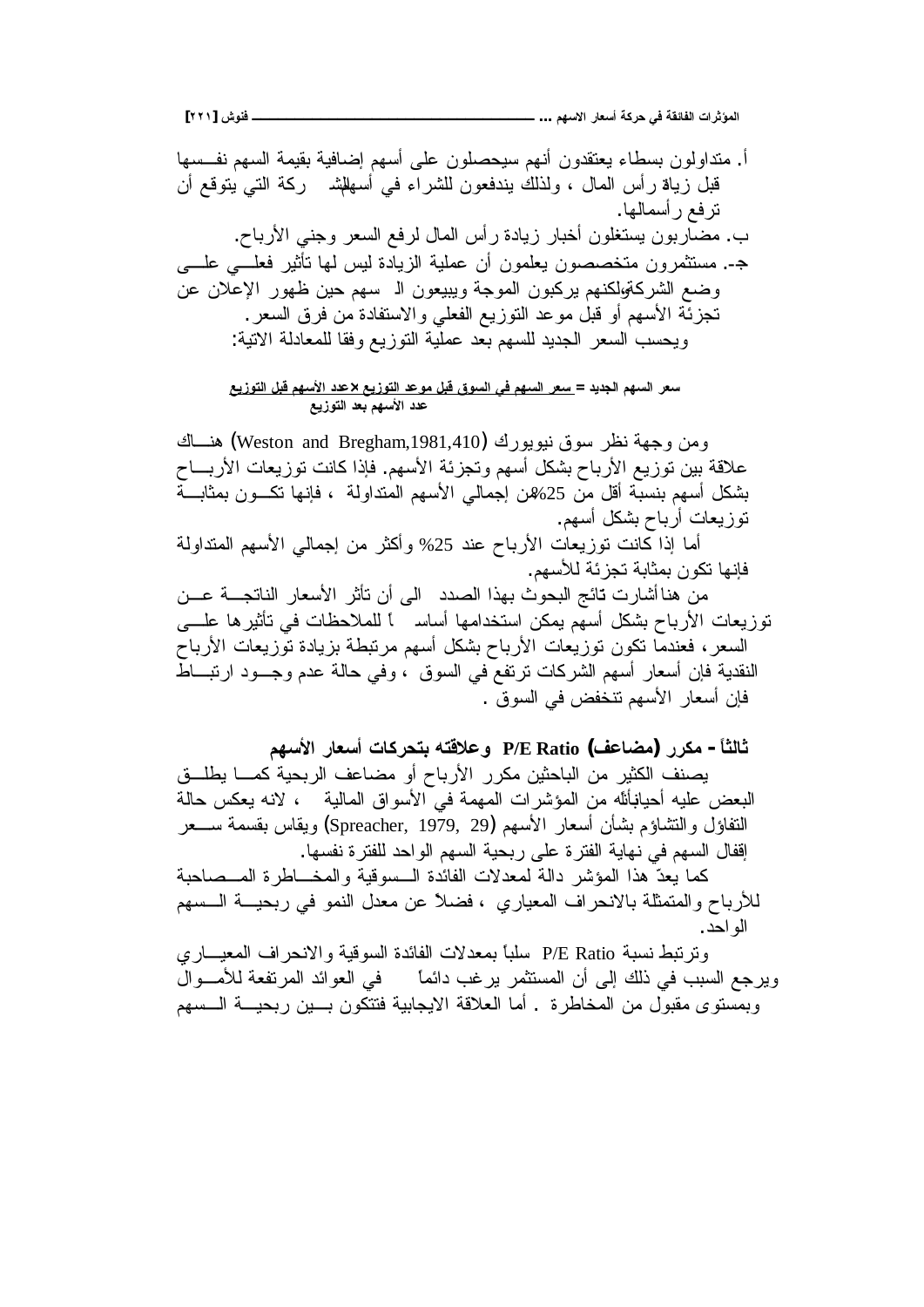**[ÏÏÎ] ūƍƈżººººººººººººººººººººººººººººººººº ...ƅƌŪƙŒŧœŶŪŊŗƂŧšƑżŗƀőœŽƃŒŘŒŧśŌƆƃŒ**

أَ. منداولون بسطاء يعتقدون أنهم سيحصلون على أسهم إضافية بقيمة السهم نفـــسها قبل زياة رأس المال ، ولذلك يندفعون للشراء في أسهلشم ركة التي يتوقع أن نزفع رأسمالها. ب. مضاربون بستغلون أخبار زيادة رأس المال لرفع السعر وجني الأرباح. جـ. مستثمرون متخصصون بعلمون أن عملية الزيادة ليس لها نأثير فعلـــي علــــي وضع الشركةوالمنهم يركبون الموجة ويبيعون الـ سهم حين ظهور الإعلان عن تجزئة الأسهم أو قبل موعد التوزيع الفعلى والاستفادة من فرق السعر . ويحسب السعر الجديد للسهم بعد عملية النوزيع وفقا للمعادلة الانية:

سعر السهم الجديد = <u>سعر السهم في السوق قبل موعد التوزيع ×عدد الأسهم قبل التوزيع</u> عدد الأسهم بعد التوزيع

ومن وجهة نظر سوق نيويورك (Weston and Bregham,1981,410) هنساك علاقة بين توزيع الأرباح بشكل أسهم وتجزئة الأسهم. فإذا كانت توزيعات الأربـــاح بشكل أسهم بنسبة أقل من 25%ن إجمالي الأسهم المنداولة ، فإنها نكــون بمثابـــة نوز يعات أرباح بشكل أسهم. أما آذا كانت نوزيعات الأرباح عند 25% وأكثر من إجمالي الأسهم المنداولة فإنها تكون بمثابة تجز ئة للأسهم.

من هنا أشارت تائج البحوث بهذا الصدد الى أن نأثر الأسعار الناتجـــة عـــن نوزيعات الأرباح بشكل أسهم يمكن استخدامها أساسم أللملاحظات في تأثيرها علـــي السعر، فعندما نكون توزيعات الأرباح بشكل أسهم مرتبطة بزيادة توزيعات الأرباح النقدية فإن أسعار أسهم الشركات نرتفع في السوق ، وفي حالة عدم وجـــود ارتبــــاط فإن أسعار الأسهم نتخفض في السوق .

**ƅƌŪƕŒŧœŶŪŊŘœƂŧšřŕƊřſƚŵƍ P/E Ratio (ŻŵœŰƆ) ŧŧƂƆ -Ĺœśƃœś**

يصنف الكثير من الباحثين مكرر الأرباح أو مضاعف الربحية كمـــا يطلـــق البعض عليه أحيانبأنله من الموشرات المهمة في الأسواق المالية ، لانه يعكس حالة النفاؤل والنشاؤم بشأن أسعار الأسهم (Spreacher, 1979, 29) ويقاس بقسمة ســـعر افقال السهم في نهاية الفترة على ربحية السهم الواحد للفترة نفسها.

كما بعدّ هذا المؤشر دالة لمعدلات الفائدة السسوقية والمخـــاطرة المـــصاحبة للأرباح والمتمثلة بالانحراف المعياري ، فضلاً عن معدل النمو في ربحيـــة الـــسهم الو احد .

ونرنبط نسبة P/E Ratio سلباً بمعدلات الفائدة السوقية والانحراف المعيـــاري ويرجع السبب في ذلك إلى أن المستثمر يرغب دائماً من في العوائد المرتفعة للأمسوال وبمستوى مقبول من المخاطرة . أما العلاقة الايجابية فتتكون بسين ربحيـــة الـــسهم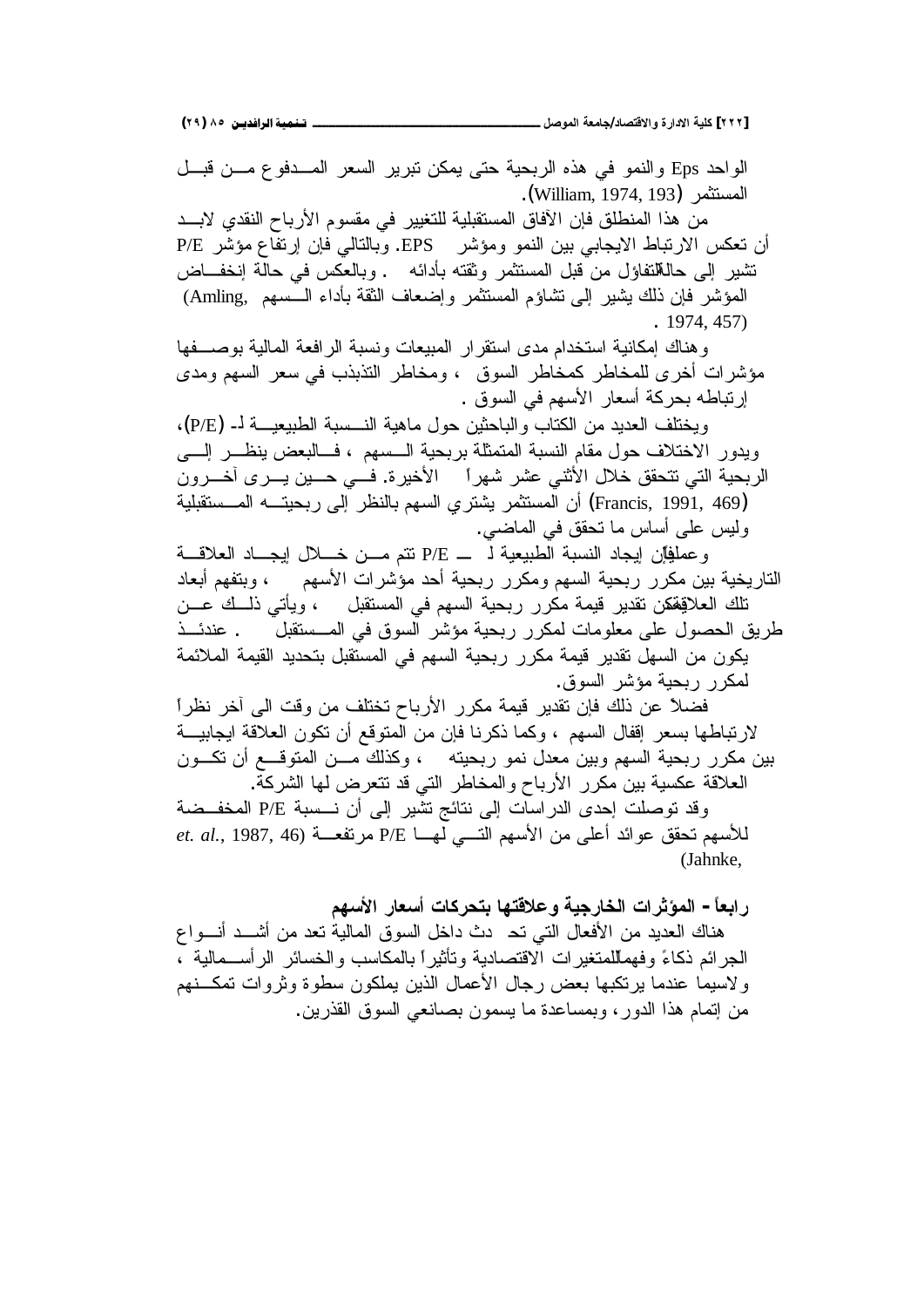**(ÏÖ) ÕÒ ÞNë¢Ë¦×ìÜàN**66666666666666666666666666666666666666666666666666666666666666666666666666666666666666666666666666**¾ŮƍƆƃŒŗŶƆœŞ/ťœŮřſƙŒƍŖŧŒťƙŒŗƒƄƂ [ÏÏÏ]**

الواحد Eps والنمو في هذه الربحية حتى يمكن نبرير السعر المسدفوع مسن قبل المستثمر (William, 1974, 193). من هذا المنطلق فإن الآفاق المستقبلية للتغيير في مقسوم الأرباح النقدي لابــد أن تعكس الارتباط الايجابي بين النمو ومؤشر EPS. وبالتالي فإن إرتفاع مؤشر P/E تشير إلى حالللتفاؤل من قبل المستثمر وثقته بأدائه . وبالعكس في حالَّة إنخفــاض المؤشر فإن ذلك بشير إلى تشاؤم المستثمر وإضعاف الثقة بأداء الـــسهم ,Amling) . 1974, 457) و هناك إمكانية استخدام مدى استقر ار المبيعات ونسبة الر افعة المالية بو صــــفها مؤشرات أخرى للمخاطر كمخاطر السوق ، ومخاطر النذبذب في سعر السهم ومدى إرنباطه بحركة أسعار الأسهم في السوق . ويختلف العديد من الكتاب والباحثين حول ماهية النسسبة الطبيعيـــة لــ (P/E)، ويدور الاختلاف حول مقام النسبة المتمثلة بربحية السسهم ، فسالبعض ينظـــر إلــــى الربحية التي نتحقق خلال الأثني عشر شهراً الأخيرة. فسي حـــين يـــرى أخـــرون أن المستثمر يشتري السهم بالنظر إلى ربحيت المستقبلية (Francis, 1991, 469) وليس على أساس ما نحقق في الماضي. ř»ƁƜŸƅŔŧ໊Ɣŏ¿Ɯ»ŦƉ»ƈƇśś P/E » ƅřƔŸƔŗųƅŔřŗŬƊƅŔŧŕŠƔŏƉŐžĻŕƔƆƈŷƏ الناريخية بين مكرر ربحية السهم ومكرر ربحية أحد مؤشرات الأسهم ، وبنفهم أبعاد تلك العلاقفقن تقدير قيمة مكرر ربحية السهم في المستقبل ، ويأتي ذلــك عــن طريق الحصول على معلومات لمكرر ربحية مؤشر السوق في المــستقبل . عندئـــذ بكون من السهل تقدير قيمة مكرر ربحية السهم في المستقبل بتحديد القيمة الملائمة لمكرر ربحية مؤشر السوق. فضلاً عن ذلك فإن تقدير قيمة مكرر الأرباح تختلف من وقت الى آخر نظر أ لارتباطها بسعر إقفال السهم ، وكما ذكرنا فإن من المتوقع أن تكون العلاقة ايجابيـــة بين مكرر ربحية السهم وبين معدل نمو ربحيته ، وكذلك مـــن المتوقـــع أن نكـــون العلاقة عكسية بين مكرر الأرباح والمخاطر التي قد تتعرض لها الشركة. وقد توصلت إحدى الدراسات إلى نتائج تشير إلى أن نـــسبة P/E المخفــضة *et. al.*, 1987, 46) للأسهم تحقق عوائد أعلى من الأسهم التـــي لهـــا P/E (Jahnke,

رابعاً – المؤثرات الخارجية وعلاقتها بتحركات أسعار الأسهم

هناك العديد من الأفعال النبي نحـ دث داخل السوق المالية نعد من أشــد أنـــواع الْجِر ائم ذكاءً و فهماللمتغير ات الاقتصادية وتأثير أ بالمكاسب و الخسائر الر أســـمالية ، ولاسيما عندما برنكبها بعض رجال الأعمال الذبن بملكون سطوة وثروات تمكــنهم من إتمام هذا الدور ، وبمساعدة ما بسمون بصانعي السوق القذرين.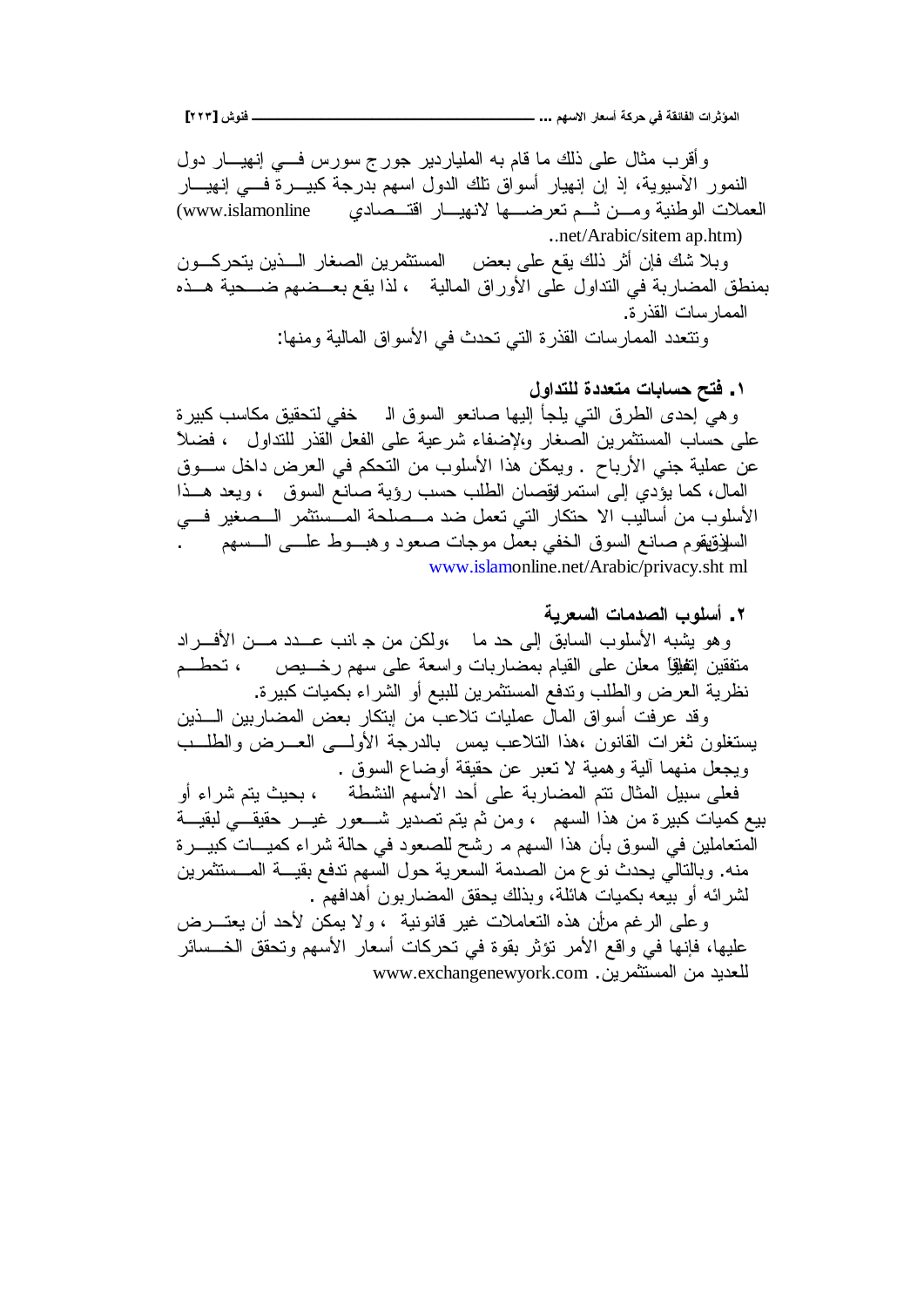المؤثرات الفائقة في حركة أسعار الاسهم … ــــــــــــــ

ــــــ فنوش [۲۲۳]

وأقرب مثال على ذلك ما قام به الملياردير جورج سورس فسي إنهيسار دول النمور الأسيوية، إذ إن إنهيار أسواق تلك الدول اسهم بدرجة كبيــــرة فــــي إنهيــــار (www.islamonline العملات الوطنية ومسن نسم نعرضسها لانهيسار اقتسصادي ..net/Arabic/sitem ap.htm) وبلا شك فإن أثر ذلك يقع على بعض المستثمرين الصغار الـــذين يتحركـــون بمنطق المضاربة في النداول على الأوراق المالية ، لذا يقع بعــضهم ضـــحية هــذه الممار سات القذر ة. ونتعدد الممارسات القذرة التي تحدث في الأسواق المالية ومنها:

١ . فتح حسابات متعددة للتداول وهي إحدى الطرق التي يلجأ إليها صانعو السوق الـ خفي لتحقيق مكاسب كبيرة على حساب المستثمرين الصغار والإضفاء شرعية على الفعل القذر للتداول ، فضلاً عن عملية جني الأرباح . ويمكّن هذا الأسلوب من التحكم في العرض داخل ســـوق المال، كما يؤدي إلى استمر لوَّصان الطلب حسب رؤية صانع السوق ، ويعد هــذا الأسلوب من أساليب الا حتكار التي تعمل ضد مــصلحة المــستثمر الــصغير فــــ، السلَّوْقِيقُوم صانع السوق الْخُفي بعمل موجات صعود وهبـــوط علــــي الــــسهم مســـــــ www.islamonline.net/Arabic/privacy.sht ml

٢. أسلوب الصدمات السعرية وهو يشبه الأسلوب السابق إلى حد ما ،ولكن من جـ انب عـــدد مـــن الأفـــراد متفقين اتِظلِّقا معلن على القيام بمضـاربات واسعة على سهم رخـــــــيص ، تـحطـــم نظرية العرض والطلب وندفع المستثمرين للبيع أو الشراء بكميات كبيرة. وقد عرفت أسواق المالِّ عمليات نلاعبٌ من إبنكار بعض المضاربين الـــذين يستغلون ثغرات القانون ،هذا النلاعب بمس بالدرجة الأولسي العسرض والطلسب ويجعل منهما ألية وهمية لا تعبر عن حقيقة أوضاع السوق . فعلى سبيل المثال نتم المضاربة على أحد الأسهمّ النشطة ﴿ ، بحيث يتم شراء أو بيع كميات كبيرة من هذا السهم ، ومن ثم يتم تصدير شـــعور غيـــر حقيقـــي لبقيـــة الْمَتعاملين في السوق بأن هذا السهم مـ رشَّح للصعود في حالة شراء كميـــاتٌ كبيـــرة منه. وبالنالي يحدث نوع من الصدمة السعرية حول السهم ندفع بقيـــة المـــستثمرين لشر ائه أو بيعه بكميات هائلة، وبذلك يحقق المضاربون أهدافهمّ . وعلمي الرغم مرأين هذه التعاملات غير قانونية ، ولا يمكن لأحد أن يعتــــرض عليها، فإنها في واقع الأمر نؤثر بقوة في نحركات أسعار الأسهم ونحقق الخـــسائر

للعديد من المستثمرين. www.exchangenewyork.com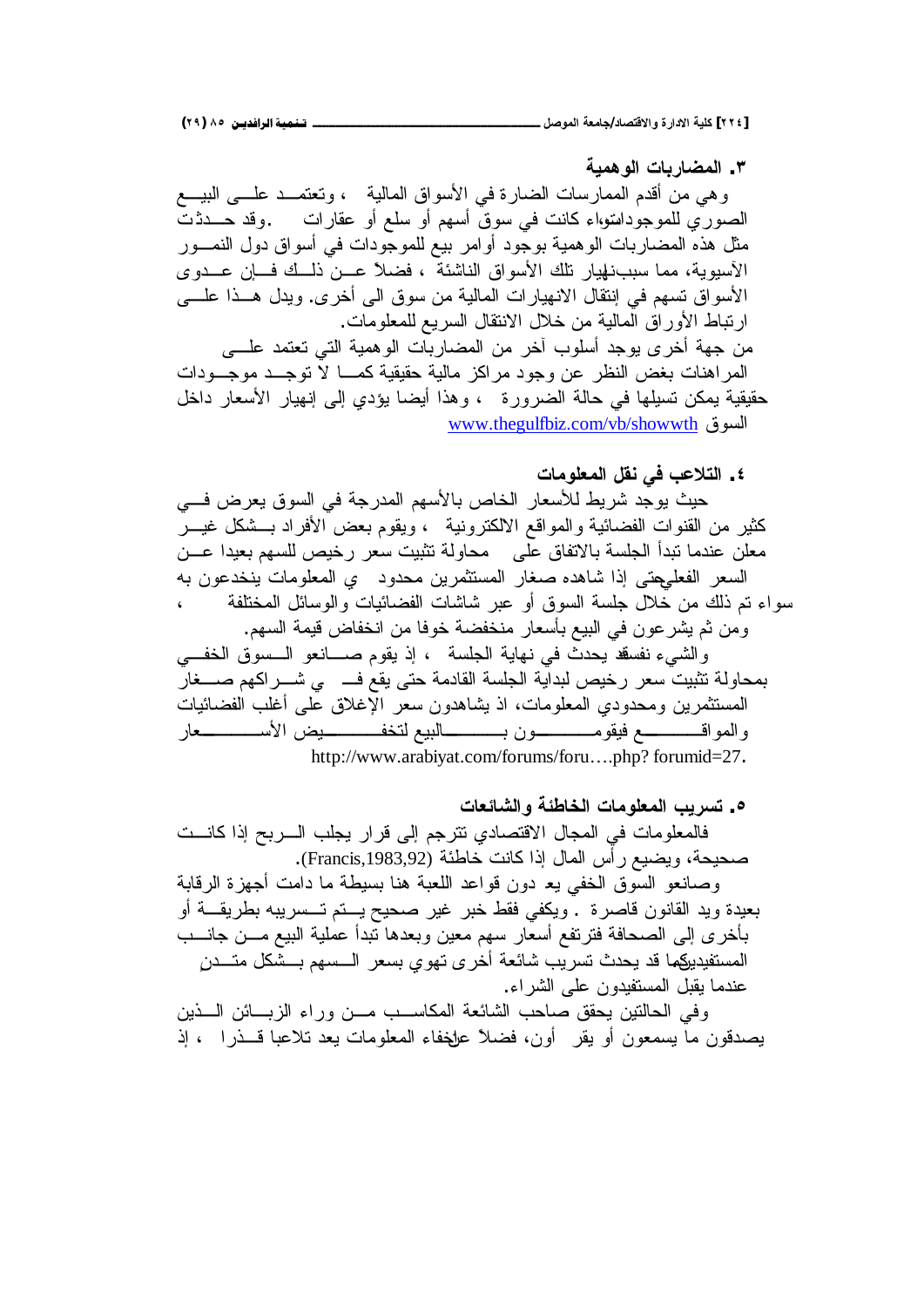**ŗƒƆƋƍƃŒŘœŕŧœŰƆƃŒ .Ð** وهي من أقدم الممارسات الضارة في الأسواق المالية ، وتعتمــد علـــي البيـــع الصوري للموجوداسواء كانت في سوق أسهم أو سلع أو عقارات وقد حـــدذت مثل هذه المضاربات الوهمية بوجود أوامر بيع للموجودات في أسواق دول النمـــور الأسيوية، مما سبب:فهيار نلك الأسواق الناشئة ، فضلاً عـــن ذلــك فـــان عـــدوى الأسواق تسهم في إنتقال الانهيارات المالية من سوق الى أخرى. ويدل هــذا علـــي ارتباط الأوراق المالية من خلال الانتقال السريع للمعلومات. من جهة أخرى يوجد أسلوب آخر من المضاربات الوهمية التي تعتمد علـــي المراهنات بغض النظر عن وجود مراكز مالية حقيقية كمـــا لا توجــد موجـــودات حقيقية يمكن تسيلها في حالة الضرورة ، وهذا أيضا يؤدي إلى إنهيار الأسعار داخل

<u>www.thegulfbiz.com/vb/showwth</u>

**ŘœƆƍƄŶƆƃŒ¾ƀƈƑżŔŵƚřƃŒ .Ñ**

حيث يوجد شريط للأسعار الخاص بالأسهم المدرجة في السوق يعرض فسي كثير من القنوات الفضائية والمواقع الالكترونية ، ويقوم بعض الأفراد بـــشكل غيـــر معلن عندما تبدأ الجلسة بالاتفاق على محاولة تثبيت سعر رخيص للسهم بعيدا عـــن السعر الفعليهتي إذا شاهده صغار المستثمرين محدود ي المعلومات ينخدعون به سواء نم ذلك من خلال جلسة السوق أو عبر شاشات الفضائيات والوسائل المختلفة ومن ثم بِشرعون في البيع بأسعار منخفضة خوفا من انخفاض قيمة السهم.

والشيء نفسفه يحدث في نهاية الجلسة ، إذ يقوم صـــانعو الـــسوق الخفـــي بمحاولة تثبيت سعر رخيص لبداية الجلسة القادمة حتى يقع فـــــى شـــراكهم صــــغار المستثمرين ومحدودي المعلومات، اذ بشاهدون سعر الإغلاق على أغلب الفضائيات والمواقــــــــــــع فيقومــــــــــــون بــــــــــالبيع لتخفــــــــــيض الأســـــــــــــعار [http://www.arabiyat.com/forums/foru….php?](http://www.arabiyat.com/forums/foru�.php?) forumid=27.

**ŘœŶőœŬƃŒƍŗőűœŤƃŒŘœƆƍƄŶƆƃŒŔƒŧŪř .Ò** فالمعلومات في المجال الاقتصادي نترجم إلى قرار يجلب السربح إذا كانست صحيحة، ويضيع رأس المال إذا كانت خاطئة (Francis,1983,92).

وصانعو السوق الخفى يع دون قواعد اللعبة هنا بسيطة ما دامت أجهزة الرقابة بعيدة ويد القانون قاصرة . ويكفى فقط خبر غير صحيح يستم تسسريبه بطريقـــة أو بأخرى إلىي الصحافة فترتفع أسعار سهم معين وبعدها نبدأ عملية البيع مـــن جانــــب المستفيديكما قد يحدث تسريب شائعة أخرى تهوي بسعر الـــسهم بـــشكل متـــدن عندما يقبل المستفيدون على الشراء.

وفي الحالتين يحقق صاحب الشائعة المكاسـب مــن وراء الزبـــائن الـــذين يصدقون ما يسمعون أو يقر أون، فضلاً علخفاء المعلومات يعد نلاعباً قـــذرا ، إذ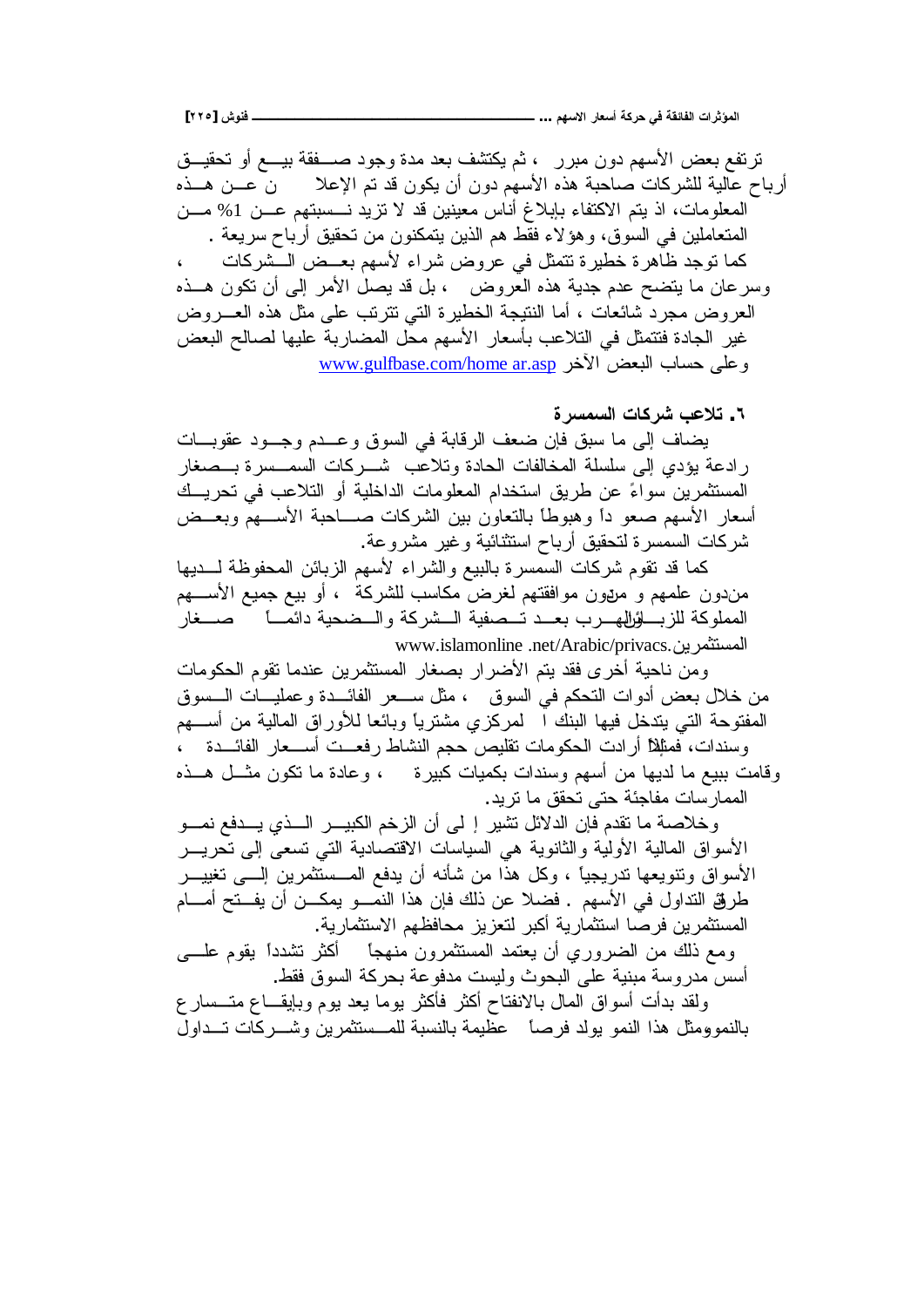ترتفع بعض الأسهم دون مبرر ، ثم يكتشف بعد مدة وجود صسفقة بيسع أو تحقيسق أرباح عالية للشركات صاحبة هذه الأسهم دون أن يكون قد تم الإعلا مص ف هسذه المعلومات، اذ يتم الاكتفاء بإبلاغ أناس معينين قد لا نزيد نـــسبتهم عـــن 1% مـــن المتعاملين في السوق، وهؤلاء فقط هم الذين يتمكنون من تحقيق أرباح سريعة . كما توجد ظاهرة خطيرة تتمثل في عروض شراء لأسهم بعــض الــشركات وسرعان ما يتضح عدم جدية هذه العروض ، بل قد يصل الأمر إلىي أن نكون هـــذه العروض مجرد شائعات ، أما النتيجة الخطيرة التبي تترنب على مثل هذه العــــروض غير الجادة فتتمثل في التلاعب بأسعار الأسهم محل المضاربة عليها لصالح البعض www.gulfbase.com/home ar.asp وعلى حساب البعض الآخر

**ŖŧŪƆŪƃŒŘœƂŧŬŔŵƚř .Ó**

بضاف إلى ما سبق فإن ضعف الرقابة في السوق وعــدم وجــود عقوبـــات ر ادعة يؤدي إلى سلسلة المخالفات الحادة وتلاعب شـــر كات السمـــسر ة بـــصـغار المستثمرين سواءً عن طريق استخدام المعلومات الداخلية أو التلاعب في تحريــك أسعار الأسهم صعو دأ وهبوطاً بالنعاون بين الشركات صـــاحبة الأســـهم وبعــض شركات السمسرة لنحقيق أرباح استثنائية وغير مشروعة.

كما قد نقوم شركات السمسرة بالبيع والشراء لأسهم الزبائن المحفوظة لــــديها مندون علمهم و مريون موافقتهم لغرض مكاسب للشركة ، أو بيع جميع الأســـهم المملوكة للزبـــلؤرلههـــرب بعـــد تـــصفية الـــشركة والـــضحية دائمـــأ صــــغار www.islamonline .net/Arabic/privacs.

ومن ناحية أخرى فقد يتم الأضرار بصغار المستثمرين عندما تقوم الحكومات من خلال بعض أدوات النحكم في السوق ، مثل ســعر الفائـــدة وعمليـــات الـــسوق المفتوحة التبي بندخل فيها البنك ا لمركزي مشترياً وبائعا للأوراق المالية من أســـهم وسندات، فمثلِلاً أر ادت الحكومات تقليص حجم النشاط رفعــت أســـعار الفائـــدة ــ ، وقامت ببيع ما لديها من أسهم وسندات بكميات كبيرة مصموم وعادة ما تكون مثـــل هـــذه الممارسات مفاجئة حتى تحقق ما تريد.

وخلاصة ما نقدم فإن الدلائل تشير إ لي أن الزخم الكبيـــر الـــذي يـــدفع نمـــو الأسواق المالية الأولية والثانوية هي السياسات الاقتصادية التي تسعى إلى تحريـــر الأسواق ونتويعها تدريجياً ، وكل هذا من شأنه أن يدفع المـــستثمرين الــــي تغييـــر طريَّة التداول في الأسهم . فضلا عن ذلك فإن هذا النمـــو يمكـــن أن يفـــتح أمــــام المستثمر بن فر صـا استثمار بـة أكبر لتعز بز مـحافظهم الاستثمار بـة.

ومع ذلك من الضروري أن يعتمد المستثمرون منهجاً أكثر نتثىدداً يقوم علــــي أسس مدر وسة مبنية على البحوث وليست مدفوعة بحركة السوق فقط.

ولقد بدأت أسواق المال بالانفتاح أكثر فأكثر بوما يعد بوم وبإيقــاع متـــسار ع بالنمو ومثل هذا النمو يولد فرصاً عظيمة بالنسبة للمستثمرين وشــركات تــداول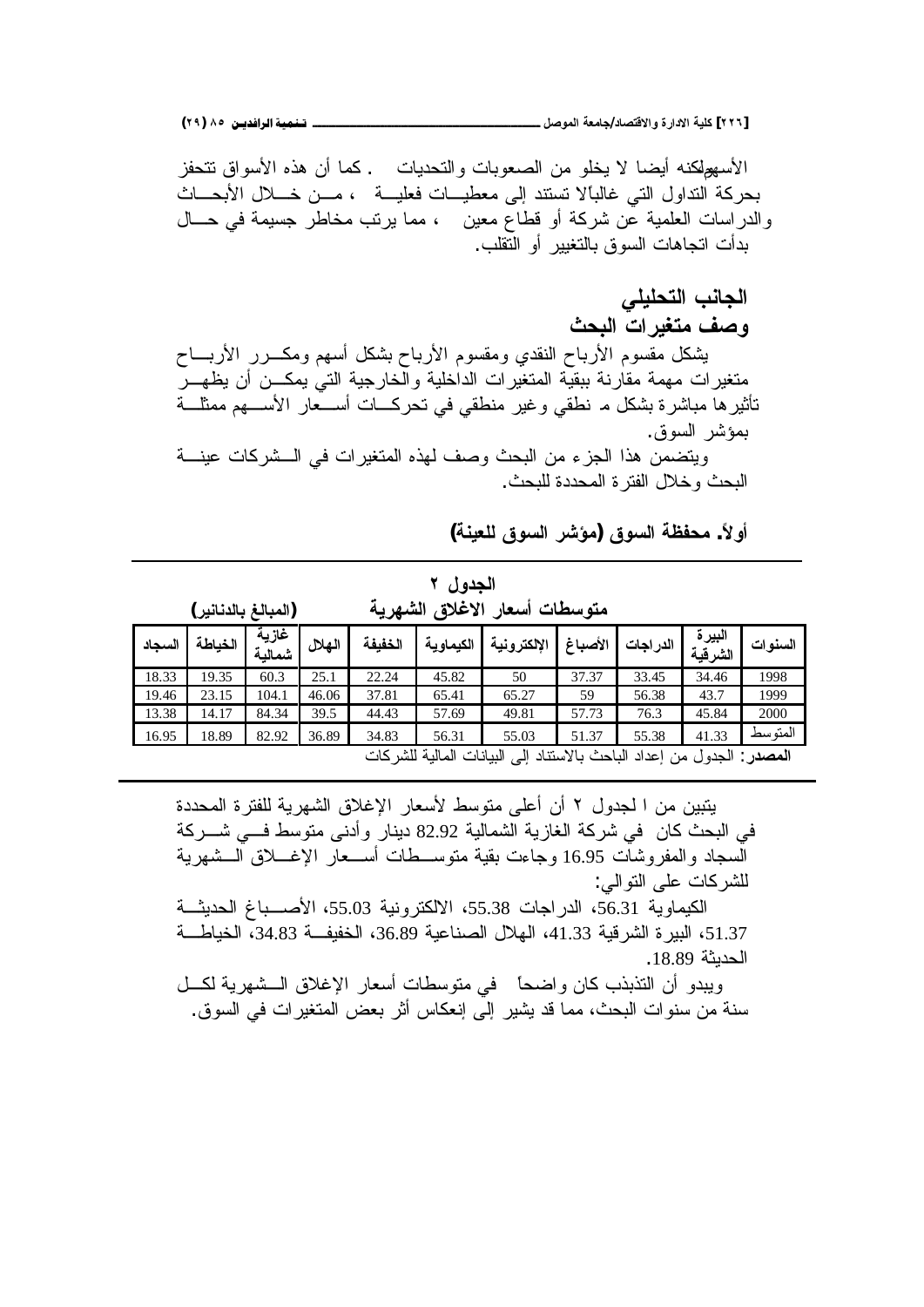الجانب التحليلي

الأسهولكنه أبضا لا بخلو من الصعوبات والتحدبات . كما أن هذه الأسواق تتحفز بحركة النداول التي غالبالا تستند إلى معطيـــات فعليـــة ، مـــن خــــلال الأبحــــاث والدراسات العلمية عن شركة أو قطاع معين ، مما يرنب مخاطر جسيمة في حـــال بدأت اتجاهات السوق بالتغيير أو النقلب.

و**صف متغير ات البحث** يشكل مقسوم الأرباح النقدي ومقسوم الأرباح بشكل أسهم ومكـــرر الأربــــاح متغيرات مهمة مقارنة ببقية المتغيرات الداخلية والخارجية التي يمكـــن أن يظهـــر تأثيرها مباشرة بشكل مـ نطقي وغير منطقي في تحركـــات أســـعار الأســــهم ممثلــــة بمؤشر السوق. ويتضمن هذا الجزء من البحث وصف لهذه المتغيرات في السشركات عينسة

البحث و خلال الفتر ة المحددة للبحث.

**(ŗƈƒŶƄƃžƍŪƃŒŧŬŌƆ)žƍŪƃŒŗŲŽšƆ .ĹƙƍŊ**

|                                                                                                                                    | الجدول ۲ |       |       |       |                                        |                                                                                |       |       |         |         |  |  |
|------------------------------------------------------------------------------------------------------------------------------------|----------|-------|-------|-------|----------------------------------------|--------------------------------------------------------------------------------|-------|-------|---------|---------|--|--|
| متوسطات أسعار الاغلاق الشهرية<br>(المبالغ بالدنانير)                                                                               |          |       |       |       |                                        |                                                                                |       |       |         |         |  |  |
| غازية<br>البيرة<br>الكيماوية<br>الإلكترونية<br>الخباطة<br>الخفيفة<br>الأصباغ<br>الهلال<br>الدر اجات<br>السجاد<br>الشرقية<br>شمالية |          |       |       |       |                                        |                                                                                |       |       | السنوات |         |  |  |
| 18.33                                                                                                                              | 19.35    | 60.3  | 25.1  | 22.24 | 37.37<br>33.45<br>34.46<br>45.82<br>50 |                                                                                |       |       |         |         |  |  |
| 19.46                                                                                                                              | 23.15    | 104.1 | 46.06 | 37.81 | 65.41                                  | 65.27                                                                          | 59    | 56.38 | 43.7    | 1999    |  |  |
| 13.38                                                                                                                              | 14.17    | 84.34 | 39.5  | 44.43 | 57.69                                  | 49.81                                                                          | 57.73 | 76.3  | 45.84   | 2000    |  |  |
| 16.95                                                                                                                              | 18.89    | 82.92 | 36.89 | 34.83 | 56.31                                  | 55.03                                                                          | 51.37 | 55.38 | 41.33   | المتوسط |  |  |
|                                                                                                                                    |          |       |       |       |                                        | ا <b>لمصدر</b> : الجدول من إعداد الباحث بالاستناد إلى البيانات المالية للشركات |       |       |         |         |  |  |

بِتِبِينِ مِنِ ا لَجِدولِ ٢ أَنِ أَعلَى مِتوسطِ لأسعارِ الإغلاقِ الشهرِ بِهَ للفترِ ةِ المحددة في البحث كان في شركة الغازية الشمالية 82.92 دينار وأدنى متوسط فــي شـــركة السجاد والمفروشات 16.95 وجاءت بقية متوســـطات أســـعار الإغــــلاق الـــشهرية للشر كات على التو الى:

الكيماوية 56.31، الدراجات 55.38، الالكترونية 55.03، الأصـــباغ الحديثـــة 1.375، البير ة الشر قية 41.33، الهلال الصناعية 36.89، الخفيف 34.83، الخياطـــة الحدبثة 18.89.

ويبدو أن التذبذب كان واضحاً في متوسطات أسعار الإغلاق الـــشهرية لكـــل سنة من سنوات البحث، مما قد يشير إلى إنعكاس أثر بعض المنغيرات في السوق.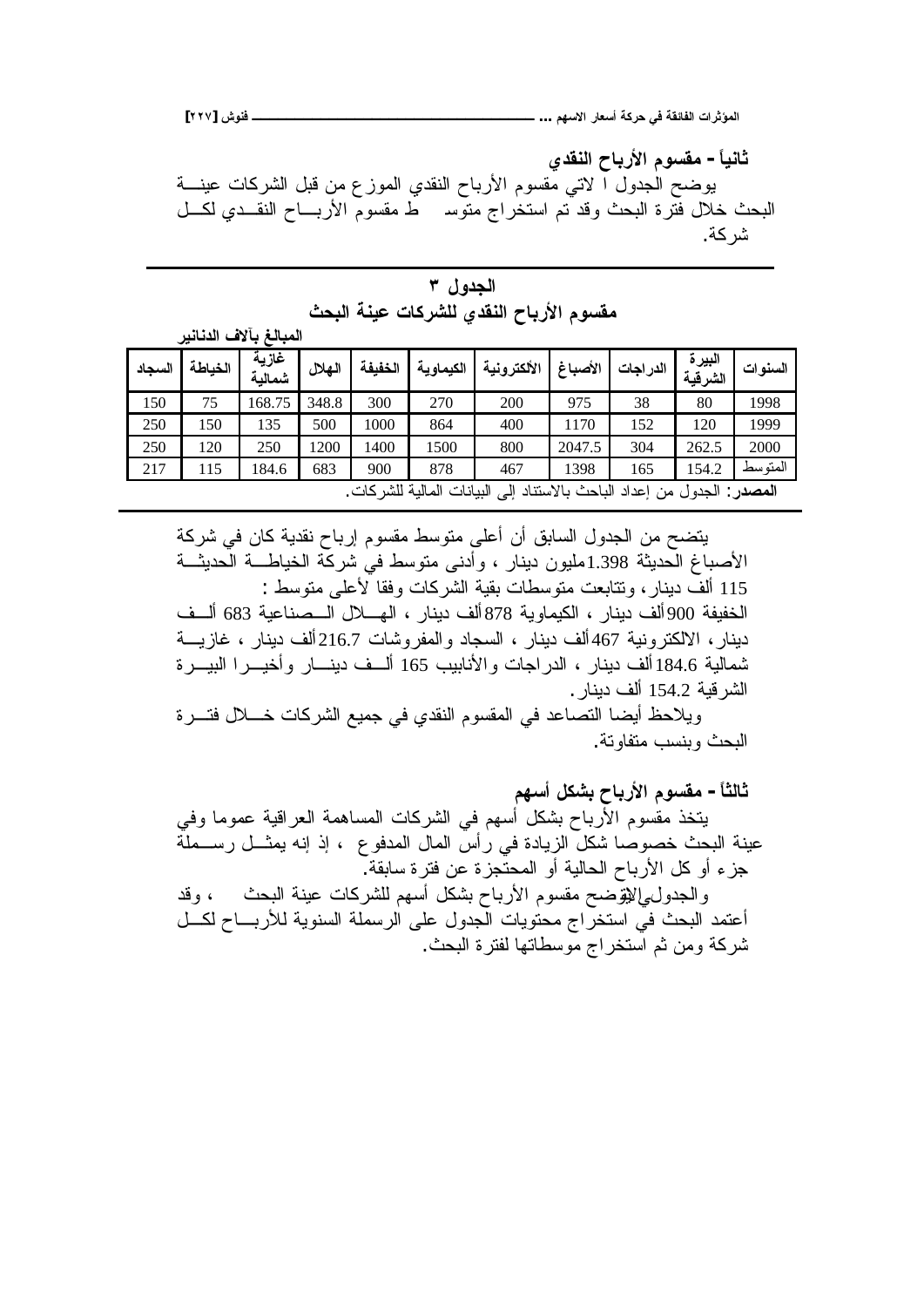**[ÏÏÔ] ūƍƈżººººººººººººººººººººººººººººººººº ...ƅƌŪƙŒŧœŶŪŊŗƂŧšƑżŗƀőœŽƃŒŘŒŧśŌƆƃŒ**

**ƐťƀƈƃŒşœŕŧƕŒƅƍŪƀƆ -Ĺœƒƈœś** بوضح الجدول ا لاتي مُقسوم الأرباح النقدي الموزع من قبل الشركات عينــــة البحث خلال فترة البحث وقد تم استخراج متوسر ط مقسوم الأربـــاح النقـــدي لكـــل شر كة.

| الجدول ۳ |  |                                         |  |  |  |  |  |  |
|----------|--|-----------------------------------------|--|--|--|--|--|--|
|          |  | مقسوم الأرباح النقدي للشركات عينة البحث |  |  |  |  |  |  |

المعالغ بآلاف الدنانير

| السجاد | الخباطة                                                                   | غازية<br>شمالية | الهلال | الخفيفة | الكيماوية | الألكترونية | الأصباغ | الدر اجات | البيرة<br>الشر قبة | السنو ات |  |
|--------|---------------------------------------------------------------------------|-----------------|--------|---------|-----------|-------------|---------|-----------|--------------------|----------|--|
| 150    | 75                                                                        | 168.75          | 348.8  | 300     | 270       | 200         | 975     | 38        | 80                 | 1998     |  |
| 250    | 150                                                                       | 135             | 500    | 1000    | 864       | 400         | 1170    | 152       | 120                | 1999     |  |
| 250    | 120                                                                       | 250             | 1200   | 1400    | 1500      | 800         | 2047.5  | 304       | 262.5              | 2000     |  |
| 217    | 115                                                                       | 84.6            | 683    | 900     | 878       | 467         | 1398    | 165       | 154.2              | المتو سط |  |
|        | المصدر: الجدول من إعداد الباحث بالاستناد إلى<br>البيانات المالية للشركات. |                 |        |         |           |             |         |           |                    |          |  |

بتضح من الجدول السابق أن أعلى منوسط مقسوم إرباح نقدية كان في شركة الأصباغ الحديثة 1.398مليون دينار ، وأدنى متوسط في شركة الخياطـــة الحديثـــة 115 ألف دينار ، وتتابعت متوسطات بقية الشركات وفقا لأعلى متوسط : الخفيفة 900ألف دينار ، الكيماوية 878ألف دينار ، الهــــلال الـــصناعية 683 ألـــف دينار ، الالكترونية 467 ألف دينار ، السجاد والمفروشات 216.7 ألف دينار ، غازيــــة شمالية 184.6 ألف دينار ، الدراجات والأنابيب 165 ألسف دينسار وأخيسرا البيسرة الشر قبة 154.2 ألف دبنار .

ويلاحظ أيضا التصاعد في المقسوم النقدي في جميع الشركات خــــلال فتــــرة البحث وبنسب منفاوتة.

**ƅƌŪŊ¾ƂŬŕşœŕŧƕŒƅƍŪƀƆ -Ĺœśƃœś**

يتخذ مقسوم الأرباح بشكل أسهم في الشركات المساهمة العراقية عموما وفي عينة البحث خصوصا شكل الزيادة في رأس المال المدفوع ، إذ إنه يمثـــل رســـملّة جزء أو كل الأرباح الحالية أو المحتجزة عن فترة سابقة. والحدول إلليتّوضح مقسوم الأرباح بشكل أسهم للشركات عينة البحث ، وقد أعتمد البحث في استخراج محتويات المجدول على الرسملة السنوية للأربـــاح لكـــل ثنركة ومن ثم استخراج موسطاتها لفترة البحث.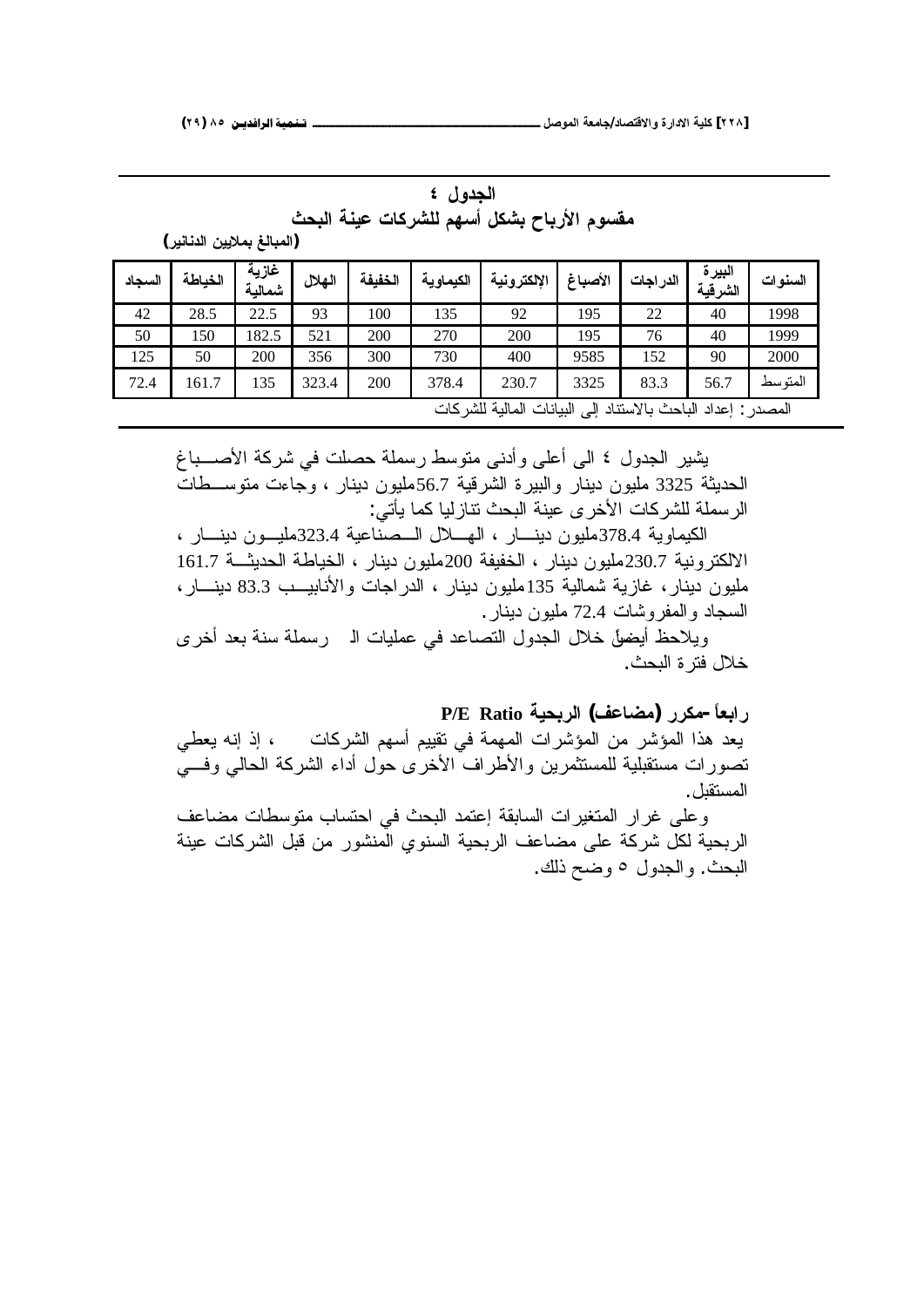|                                            | الجدول ٤ |  |  |
|--------------------------------------------|----------|--|--|
| مقسوم الأرباح بشكل أسهم للشركات عينة البحث |          |  |  |

**(ŧƒƈœƈťƃŒƇƒƒƚƆŕŸƃœŕƆƃŒ)**

| السجاد | الخباطة                                                      | غازية<br>شمالية | المهلال | الخفيفة | الكيماوية | الإلكترونية | الأصباغ | الدر اجات | البيرة<br>الشرقية | السنو ات |  |
|--------|--------------------------------------------------------------|-----------------|---------|---------|-----------|-------------|---------|-----------|-------------------|----------|--|
| 42     | 28.5                                                         | 22.5            | 93      | 100     | 135       | 92          | 195     | 22        | 40                | 1998     |  |
| 50     | 150                                                          | 182.5           | 521     | 200     | 270       | 200         | 195     | 76        | 40                | 1999     |  |
| 125    | 50                                                           | 200             | 356     | 300     | 730       | 400         | 9585    | 152       | 90                | 2000     |  |
| 72.4   | 161.7                                                        | 135             | 323.4   | 200     | 378.4     | 230.7       | 3325    | 83.3      | 56.7              | المتو سط |  |
|        | المصدر : إعداد الباحث بالاستناد إلى البيانات المالية للشركات |                 |         |         |           |             |         |           |                   |          |  |

يثنير الجدول ٤ الى أعلى وأدنى متوسط رسملة حصلت في شركة الأصــــباغ الحديثة 3325 مليون دينار والبيرة الشرقية 56.7مليون دينار ، وجاءت متوســطات الرسملة للشركات الأخرى عينة البحث تنازليا كما يأتي:

الكيماوية 378.4مليون دينسار ، الهيلال السصناعية 323.4مليسون دينسار ، الالكترونية 230.7مليون دينار ، الخفيفة 200مليون دينار ، الخياطة الحديثــة 161.7 مليون دينار ، غازية شمالية 135مليون دينار ، الدر اجات والأنابيــب 83.3 دينـــار ، السجاد و المفر و شات 72.4 ملبون دبنار .

ويلاحظ أيضوَّل خلال الجدول التصاعد في عمليات الـ رسملة سنة بعد أخرى خلال فتر ة البحث.

**P/E RatioŗƒšŕŧƃŒ (ŻŵœŰƆ) ŧŧƂƆ-ĹœŶŕŒŧ** يعد هذا المؤشر من المؤشرات المهمة في نقييم أسهم الشركات ، إذ إنه يعطي نصورات مستقبلية للمستثمرين والأطراف الأخرى حول أداء الشركة الحالي وفـــي المستقل .

وعلى غرار المتغيرات السابقة إعتمد البحث في احتساب متوسطات مضاعف الربحية لكل شركة على مضاعف الربحية السنوى المنشور من قبل الشركات عينة البحث. والجدول ٥ وضح ذلك.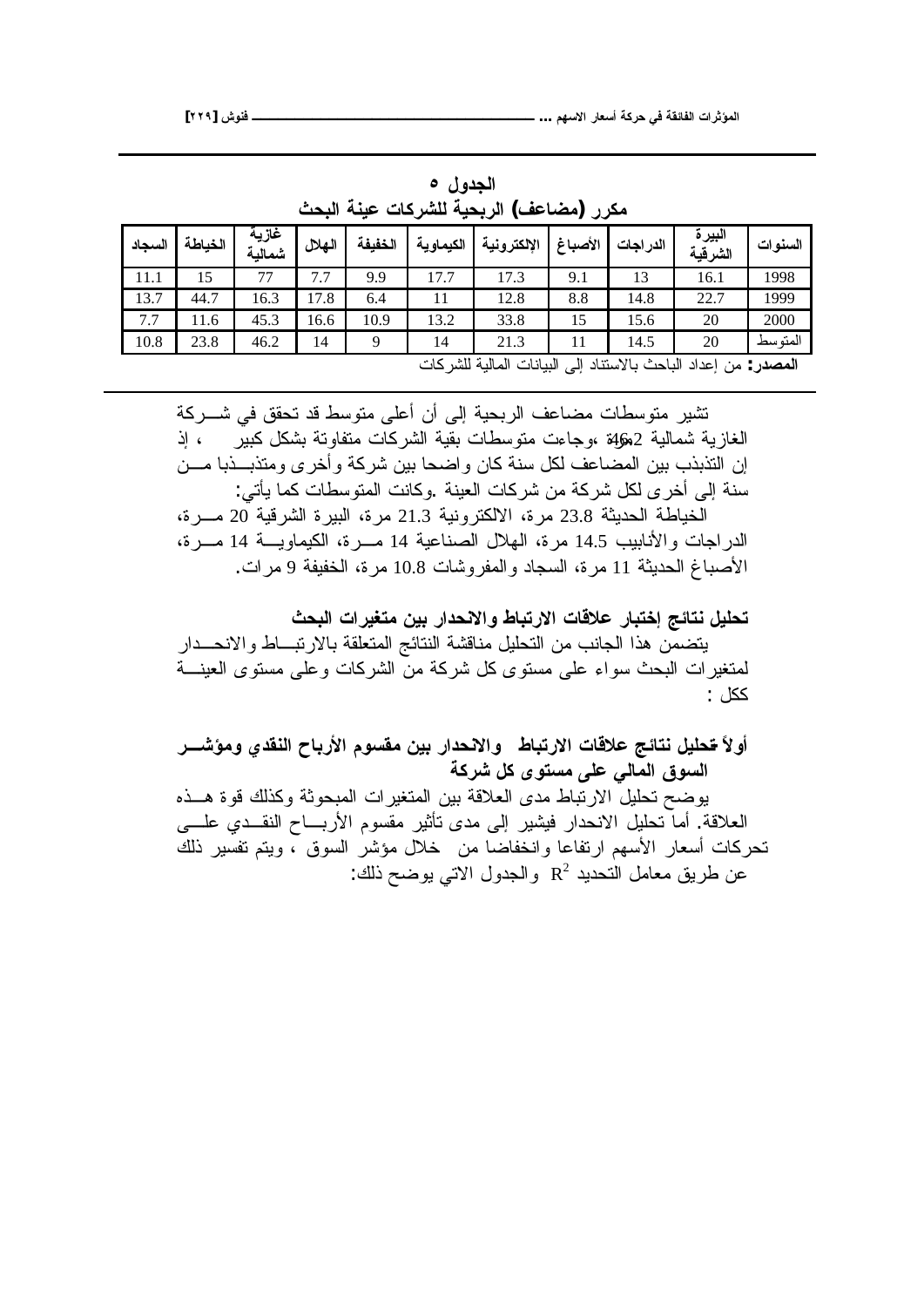|        | (مضاعف) الربحية للشركات عينة البحث<br>مکر ر |                 |        |         |                                           |             |         |          |                                                                                                           |          |  |  |
|--------|---------------------------------------------|-----------------|--------|---------|-------------------------------------------|-------------|---------|----------|-----------------------------------------------------------------------------------------------------------|----------|--|--|
| السجاد | الخباطة                                     | غازية<br>شمالية | الهلال | الخفيفة | الكيماوية                                 | الإلكترونية | الأصباغ | الدراجات | البير ة<br>الشرقية                                                                                        | السنو ات |  |  |
| 11.1   | 15                                          | 77              | 7.7    | 9.9     | 17.7                                      | 17.3        | 9.1     | 13       | 16.1                                                                                                      | 1998     |  |  |
| 13.7   | 44.7                                        | 16.3            | 17.8   | 6.4     | 11                                        | 12.8        | 8.8     | 14.8     | 22.7                                                                                                      | 1999     |  |  |
| 7.7    | 11.6                                        | 45.3            | 16.6   | 10.9    | 13.2                                      | 33.8        | 15      | 15.6     | 20                                                                                                        | 2000     |  |  |
| 10.8   | 23.8                                        | 46.2            | 14     | Q       | 14                                        | 21.3        | 11      | 14.5     | 20                                                                                                        | المتو سط |  |  |
|        |                                             |                 |        |         | $\mathcal{L}$ at the set of $\mathcal{L}$ | $-1.1$      |         |          | $\mathcal{H} = \{ \ldots, \ldots, \mathcal{H} \}$ , and $\mathcal{H} = \{ \ldots, \ldots, \mathcal{H} \}$ |          |  |  |

الجدول **0** مكرر (مضاعف) الربحية للشركات عينة البحث

<mark>المصدر</mark> : من إعداد الباحث بالاستناد إلى البيانات المالية للشر كات

تشير متوسطات مضاعف الربحية إلى أن أعلى متوسط قد تحقق في شـــركة الغازية شمالية 2ﮬ\$ ،وجاءت متوسطات بقية الشركات متفاوتة بشكل كبير م إذ إن التذبذب بين المضاعف لكل سنة كان واضحا بين شركة وأخرى ومتذبـــذبا مـــن سنة إلى أخرى لكل شركة من شركات العينة .وكانت المتوسطات كما يأتي:

الخياطة الحديثة 23.8 مرة، الالكترونية 21.3 مرة، البيرة الشرقية 20 مـــرة، الدر اجات و الأنابيب 14.5 مر ة، الهلال الصناعية 14 مـــر ة، الكيماويـــة 14 مـــر ة، الأصباغ الحديثة 11 مر ة، السجاد و المفر وشات 10.8 مر ة، الخفيفة 9 مر ات.

تحليل نتائج إختبار علاقات الارتباط والانحدار بين متغيرات البحث يتضمن هذا الجانب من التحليل مناقشة النتائج المتعلقة بالارتبساط والانحسدار لمتغير ات البحث سواء على مستوى كل شركة من الشركات وعلى مستوى العينــــة ..<br>ككل

أولاً <del>ت</del>حليل نتائج علاقات الارتباط والانحدار بين مقسوم الأرباح النقدي ومؤشـــر السوق المال*ي* على مستوى كل شركة

يوضح تحليل الارتباط مدى العلاقة بين المتغير ات المبحوثة وكذلك قوة هــذه العلاقة. أما تحليل الانحدار فيشير إلى مدى تأثير مقسوم الأربـــاح النقـــدي علــــي تحركات أسعار الأسهم ارتفاعا وانخفاضا من خلال مؤشر السوق ، وبتم تفسير ذلك عن طريق معامل التحديد  $\mathrm{R}^2$  والجدول الاتي يوضح ذلك: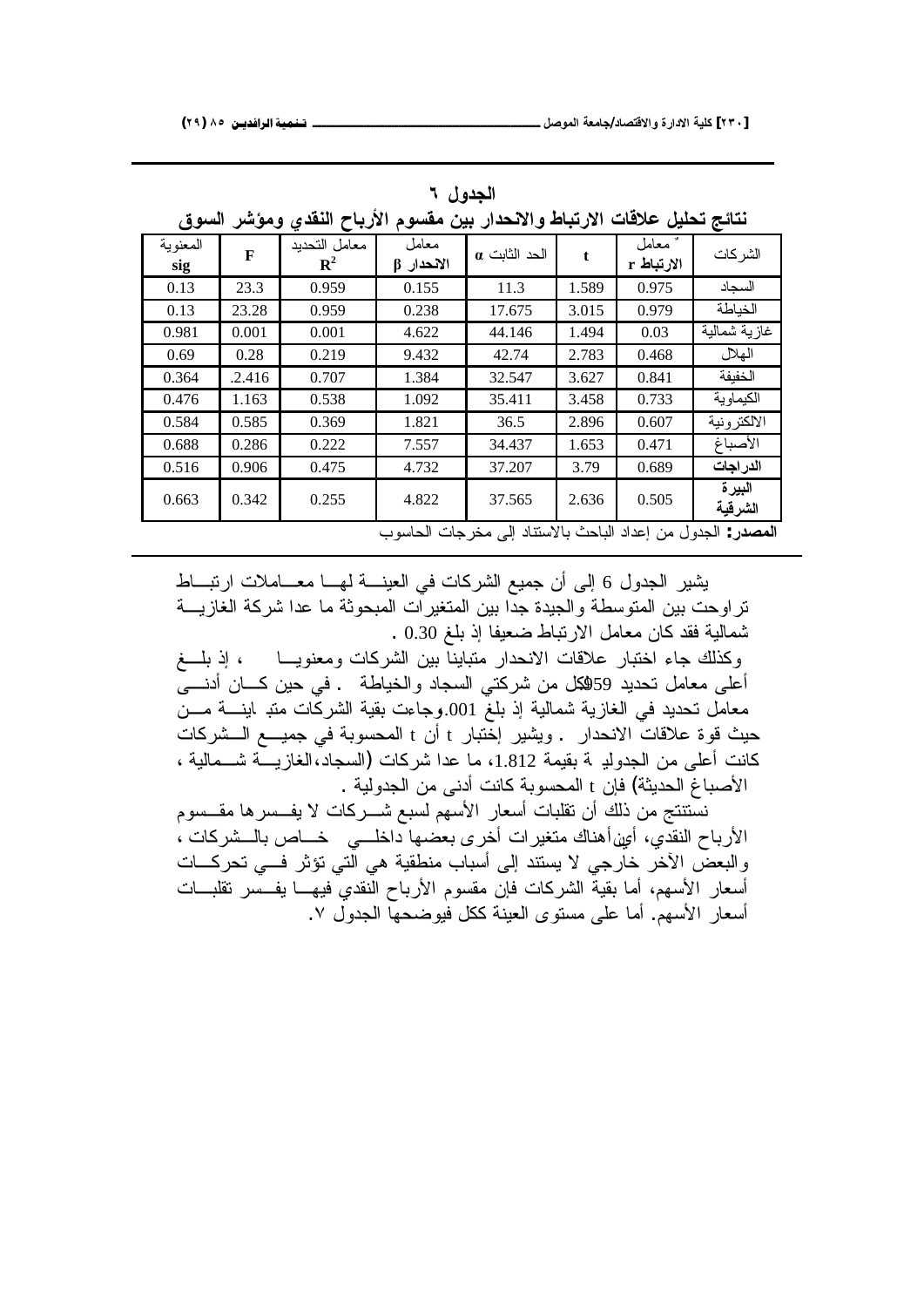|                 |        | الازباح اسعدي وموسر السوق    |                     | تتأتج تحتين حلافات الارتباط والانحدار بين معسوم              |             |                     |                    |
|-----------------|--------|------------------------------|---------------------|--------------------------------------------------------------|-------------|---------------------|--------------------|
| المعنوية<br>sig | F      | معامل التحديد<br>${\bf R}^2$ | معامل<br>الانحدار β | الحد الثابت a                                                | $\mathbf t$ | معامل<br>الارتباط r | الشر كات           |
| 0.13            | 23.3   | 0.959                        | 0.155               | 11.3                                                         | 1.589       | 0.975               | السجاد             |
| 0.13            | 23.28  | 0.959                        | 0.238               | 17.675                                                       | 3.015       | 0.979               | الخياطة            |
| 0.981           | 0.001  | 0.001                        | 4.622               | 44.146                                                       | 1.494       | 0.03                | غازية شمالية       |
| 0.69            | 0.28   | 0.219                        | 9.432               | 42.74                                                        | 2.783       | 0.468               | الهلال             |
| 0.364           | .2.416 | 0.707                        | 1.384               | 32.547                                                       | 3.627       | 0.841               | الخفيفة            |
| 0.476           | 1.163  | 0.538                        | 1.092               | 35.411                                                       | 3.458       | 0.733               | الكيماوية          |
| 0.584           | 0.585  | 0.369                        | 1.821               | 36.5                                                         | 2.896       | 0.607               | الالكتر ونية       |
| 0.688           | 0.286  | 0.222                        | 7.557               | 34.437                                                       | 1.653       | 0.471               | الأصباغ            |
| 0.516           | 0.906  | 0.475                        | 4.732               | 37.207                                                       | 3.79        | 0.689               | الدر اجات          |
| 0.663           | 0.342  | 0.255                        | 4.822               | 37.565                                                       | 2.636       | 0.505               | البير ة<br>الشرقية |
|                 |        |                              |                     | المصدر: الجدول من إعداد الباحث بالاستناد إلى مخر جات الحاسوب |             |                     |                    |

الجدول ۲

**žƍŪƃŒŧŬŌƆƍƐťƀƈƃŒşœŕŧƕŒƅƍŪƀƆƇƒŕŧŒťšƈƙŒƍűœŕřŧƙŒŘœſƚŵ¾ƒƄšřŝőœřƈ**

يثنير الجدول 6 إلى أن جميع الشركات في العينــــة لهــــا معــــاملات ارتبــــاط تراوحت بين المتوسطة والجيدة جدًا بين المتغيرات المبحوثة ما عدا شركة الغازيـــة شمالية فقد كان معامل الارنباط ضعيفا إذ بلغ 0.30 .

وكذلك جاء اختبار علاقات الانحدار متباينآ بين الشركات ومعنويـــا ، إذ بلـــغ أعلى معامل نحديد 59هِكل من شركتي السجاد والخياطة . في حين كـــان أدنــــي معامل تحديد في الغازية شمالية إذ بلغ 001.وجاءت بقية الشركّات متبـ اينــــة مـــن حيث فوة علاقات الانحدار . ويشير إختبار t أن t المحسوبة في جميـــع الـــشركات كانت أعلى من الجدولدِ بة بقيمة 1.812، ما عدا شركات (السجاد،الغازيــــة شــــمالية ، الأصباغ الحديثة) فإن t المحسوبة كانت أدنى من الجدولية .

نستنتج من ذلك أن نقلبات أسعار الأسهم لسبع شـــركات لا يفـــسرها مقـــسوم الأرباح النقدي، أُمِين|هناك منغيرات أخرى بعضها داخلـــي خـــاص بالـــشركات ، والبعضُ الأخرِ خارجي لا يستند إلى أسباب منطقية هي الّتي نؤثر فـــي تحركـــات أسعار الأسهم، أما بقية الشركات فإن مقسوم الأرباح النقدي فيهــــا يفـــسر تقلبــــات أسعار الأسهم. أما على مستوى العينة ككل فيوضحها الجدول ٧.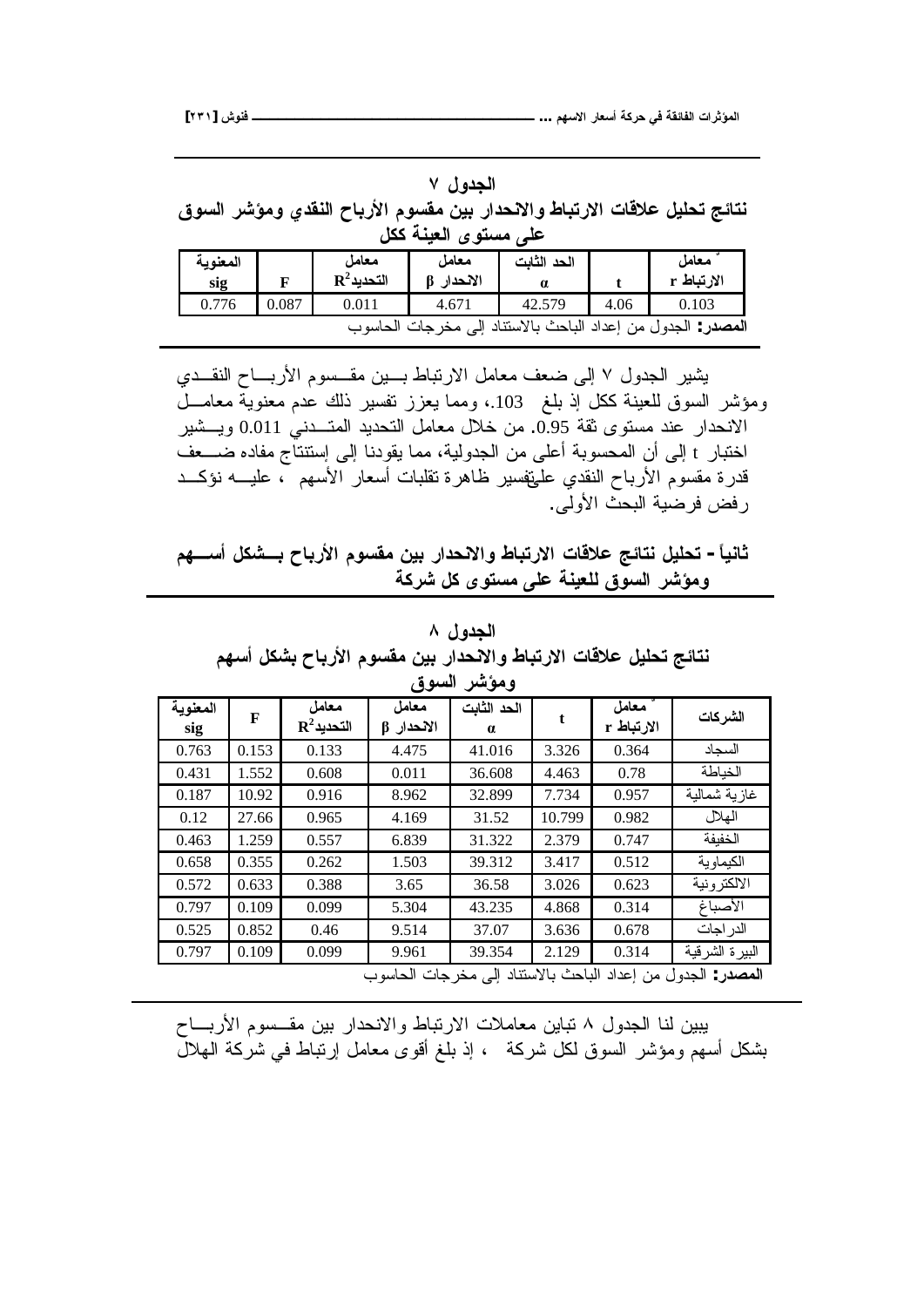#### ا**لجدول** ۷

نتائج تحليل علاقات الارتباط والانحدار بين مقسوم الأرباح النقد*ي* ومؤشر السوق على مستوى العبنة ككل

| المعنوية<br>sig |       | معامل<br>$\mathbf{R}^2$ التحديد | معامل<br>الانحدار | الحد الثابت<br>a |      | معامل<br>الارتباط r                               |
|-----------------|-------|---------------------------------|-------------------|------------------|------|---------------------------------------------------|
| 0.776           | 0.087 | 0.011                           | 4.671             | 42.579           | 4.06 | 0.103                                             |
|                 |       | مخرجات الحاسوب                  |                   |                  |      | ا <b>لمصدر</b> : الجدول من إعداد الباحث بالاستناد |

يشير الجدول Y إلى ضعف معامل الارتباط بسين مقسوم الأربساح النقــدي ومؤشر السوق للعينة ككل إذ بلغ 103.، ومما يعزز نفسير ذلك عدم معنوية معامـــل الانحدار عند مستوى ثقة 0.95. من خلال معامل التحديد المتـــدنى 0.011 ويـــشير اختبار t إلى أن المحسوبة أعلى من الجدولية، مما يقودنا إلى إستتتاج مفاده ضــــعف قدرة مقسوم الأرباح النقدي علىقفسير ظاهرة تقلبات أسعار الأسهم "، عليــــه نؤكـــد رِ فض فرضية البحث الأولى.

 **ƅƌºŪŊ¾ƂŬºŕşœŕŧƕŒƅƍŪƀƆƇƒŕŧŒťšƈƙŒƍűœŕřŧƙŒŘœſƚŵŝőœřƈ¾ƒƄšř -Ĺœƒƈœś** ومؤشر السوق للعينة على مستوى كل شركة

### الجدول ۸

نتائج تحليل علاقات الارتباط والانحدار بين مقسوم الأرباح بشكل أسهم

| المعنوية | F     | معامل                  | معامل            | الحد الثابت |        | معامل      | الشركات                                                                |
|----------|-------|------------------------|------------------|-------------|--------|------------|------------------------------------------------------------------------|
| sig      |       | $\mathbf{R}^2$ التحديد | $\beta$ الأنحدار | $\alpha$    |        | الارتباط r |                                                                        |
| 0.763    | 0.153 | 0.133                  | 4.475            | 41.016      | 3.326  | 0.364      | السحاد                                                                 |
| 0.431    | 1.552 | 0.608                  | 0.011            | 36.608      | 4.463  | 0.78       | الخباطة                                                                |
| 0.187    | 10.92 | 0.916                  | 8.962            | 32.899      | 7.734  | 0.957      | غاز ية شمالية                                                          |
| 0.12     | 27.66 | 0.965                  | 4.169            | 31.52       | 10.799 | 0.982      | الهلال                                                                 |
| 0.463    | 1.259 | 0.557                  | 6.839            | 31.322      | 2.379  | 0.747      | الخفبفة                                                                |
| 0.658    | 0.355 | 0.262                  | 1.503            | 39.312      | 3.417  | 0.512      | الكيماوية                                                              |
| 0.572    | 0.633 | 0.388                  | 3.65             | 36.58       | 3.026  | 0.623      | الالكتر ونية                                                           |
| 0.797    | 0.109 | 0.099                  | 5.304            | 43.235      | 4.868  | 0.314      | الأصباغ                                                                |
| 0.525    | 0.852 | 0.46                   | 9.514            | 37.07       | 3.636  | 0.678      | الدر اجات                                                              |
| 0.797    | 0.109 | 0.099                  | 9.961            | 39.354      | 2.129  | 0.314      | البيرة الشرقية                                                         |
|          |       |                        |                  |             |        |            | <b>المصدر</b> : الجدو ل من إعداد الباحث بالاستناد إلى مخر جات الحاسو ب |

يبين لنا الجدول ٨ نباين معاملات الارتباط والانحدار بين مقــسوم الأربـــاح بشكل أسهم ومؤشر السوق لكل شركة ، إذ بلغ أقوى معامل إرتباط في شركة الهلال

ومؤشر السوق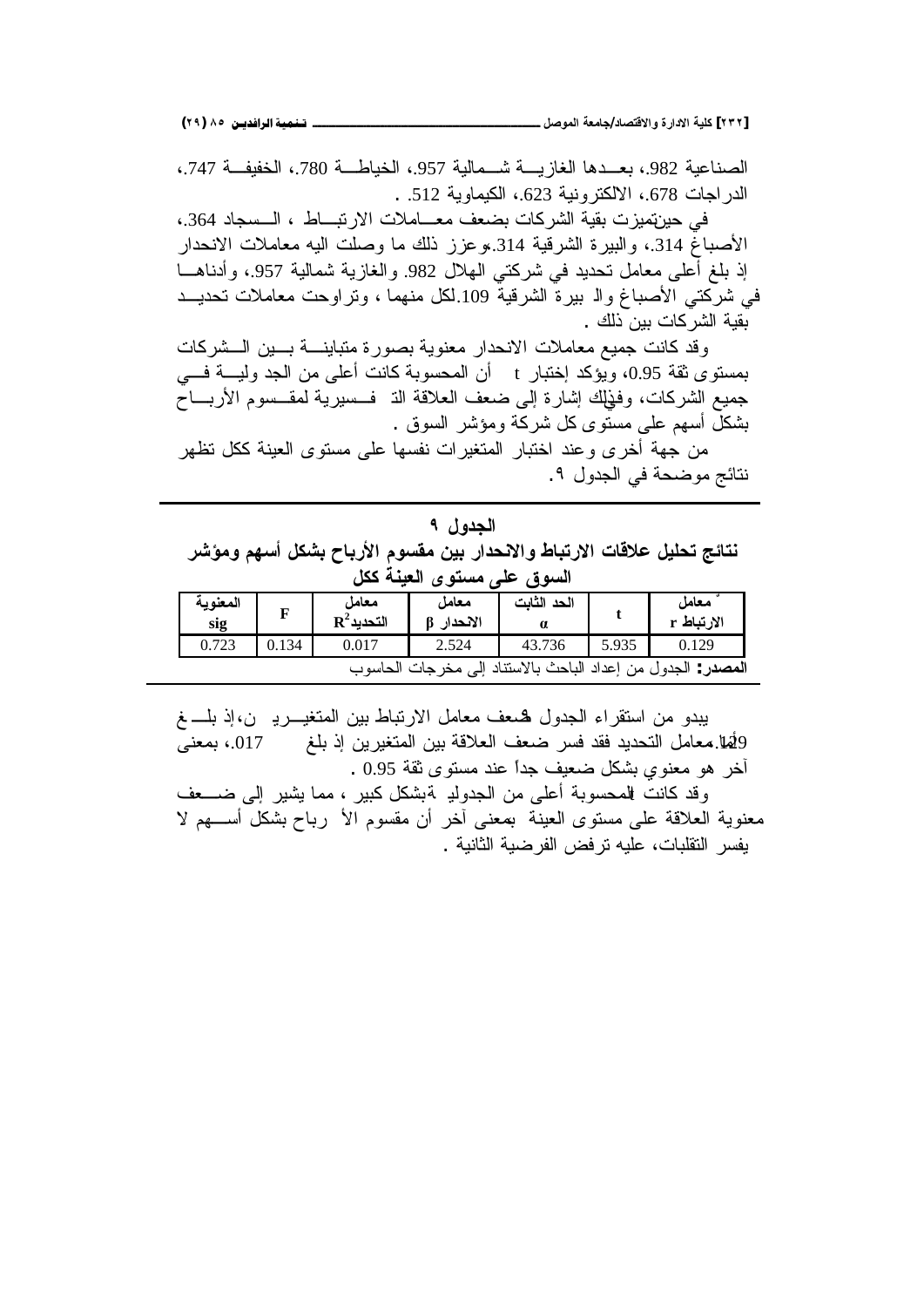**(ÏÖ) ÕÒ ÞNë¢Ë¦×ìÜàN**66666666666666666666666666666666666666666666666666666666666666666666666666666666666666666666666666**¾ŮƍƆƃŒŗŶƆœŞ/ťœŮřſƙŒƍŖŧŒťƙŒŗƒƄƂ [ÏÐÏ]**

الصناعبة 982.، بعــدها الغاز بــــة شـــمالية 957.، الخياطـــة 780.، الخفيفــة 747.، الدر اجات 678.، الالكترونية 623.، الكيماوية 512. .

في حيرنهيز ت بقية الشر كات بضعف معـــاملات الار نبـــاط ، الـــسجاد 364.، الأصباغ 314.، والبيرة الشرقية 314.،وعزز ذلك ما وصلت اليه معاملات الانحدار إذ بلغ أُعلى معامل تحديد في شركتي الهلال 982. والغازية شمالية 957.، وأدناهـــا في شركتي الأصباغ والـ بير ة الشرقية 109 لكل منهما ، وتر اوحت معاملات تحديــد بقية الشركات بين ذلك .

وفد كانت جميع معاملات الانحدار معنوية بصورة متباينــــة بــــين الـــشركات بمستوى ثقة 0.95، ويؤكد إختبار t أن المحسوبة كانت أعلى من الجد وليــــة فــــي جميع الشركات، وفَوْلِك إشارة إلى ضعف العلاقة الّذ ۖ فــسيرية لمقــسوم الأربـــاح بشكل أسهم علىي مستوى كل شركة ومؤشر السوق .

من جهة أخرى وعند اختبار المتغيرات نفسها على مستوى العينة ككل تظهر نتائج موضحة في الجدول ٩.

الجدو ل ۹ نتائج تحليل علاقات الارتباط والانحدار بين مقسوم الأرباح بشكل أسهم ومؤشر السوق عل*ى* مستوى العينة ككل

| المعنوية<br>sig |       | معامل<br>$\mathbf{R}^2$ التحديد | معامل<br>الانحدار | الحد الثابت |       | معامل<br>الارتباط r                               |
|-----------------|-------|---------------------------------|-------------------|-------------|-------|---------------------------------------------------|
| 0.723           | 0.134 | 0.017                           | 2.524             | 43.736      | 5.935 | 0.129                                             |
|                 |       |                                 | مخرجات الحاسو     |             |       | ا <b>لمصدر</b> : الجدول من إعداد الباحث بالاستناد |

يبدو من استقراء الجدول همعف معامل الارتباط بين المتغيـــريــ ن،إذ بلــــــغ  $\Phi$ ليا معامل التحديد فقد فسر ضعف العلاقة بين المتغيرين إذ بلغ  $17$  .017 بمعنى . 0.95 قر معنوي بشكل ضعيف جداً عند مستوى ثقة 0.95

وقد كانت للمحسوبة أعلى من الجدولد ةبشكل كبير ، مما يشير إلى ضـــعف معنوية العلاقة على مستوى العينة بمعنى أخر أن مقسوم الأ رباح بشكل أســـهم لا يفسر النقلبات، عليه ترفض الفرضية الثانية .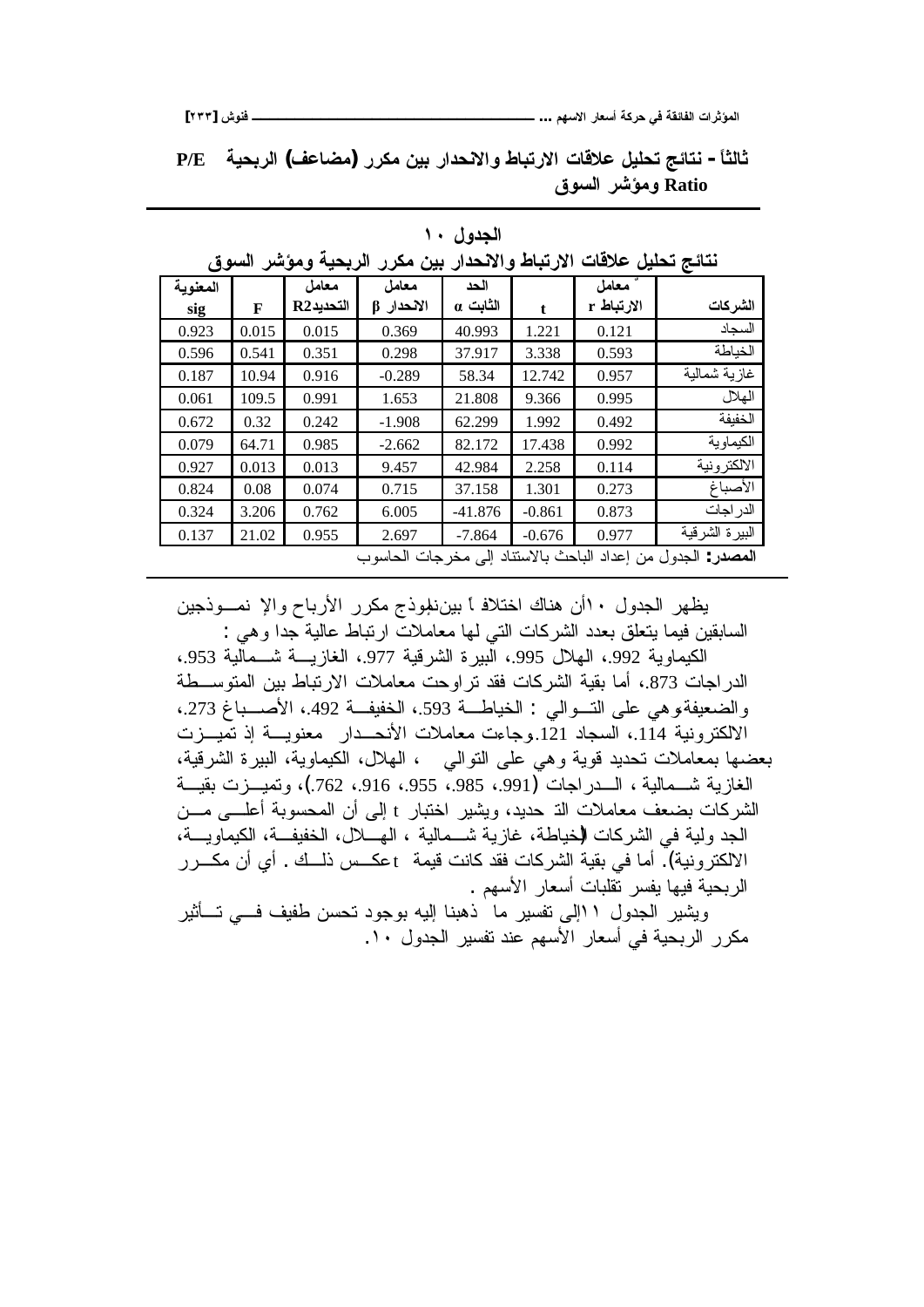**[ÏÐÐ] ūƍƈżººººººººººººººººººººººººººººººººº ...ƅƌŪƙŒŧœŶŪŊŗƂŧšƑżŗƀőœŽƃŒŘŒŧśŌƆƃŒ**

**P/E ŗƒšŕŧƃŒ (ŻŵœŰƆ) ŧŧƂƆƇƒŕŧŒťšƈƙŒƍűœŕřŧƙŒŘœſƚŵ¾ƒƄšřŝőœřƈ -Ĺœśƃœś žƍŪƃŒŧŬŌƆƍ Ratio**

| نتائج تحليل علاقات الارتباط والانحدار بين مكرر<br>الربحيه ومؤشر السوق    |       |           |            |           |          |            |                |  |  |  |
|--------------------------------------------------------------------------|-------|-----------|------------|-----------|----------|------------|----------------|--|--|--|
| المعنوية                                                                 |       | معامل     | معامل      | الحد      |          | معامل      |                |  |  |  |
| sig                                                                      | F     | التحديدR2 | الانحدار β | الثابت α  | t.       | الارتباط r | الشركات        |  |  |  |
| 0.923                                                                    | 0.015 | 0.015     | 0.369      | 40.993    | 1.221    | 0.121      | السجاد         |  |  |  |
| 0.596                                                                    | 0.541 | 0.351     | 0.298      | 37.917    | 3.338    | 0.593      | الخباطة        |  |  |  |
| 0.187                                                                    | 10.94 | 0.916     | $-0.289$   | 58.34     | 12.742   | 0.957      | غازية شمالية   |  |  |  |
| 0.061                                                                    | 109.5 | 0.991     | 1.653      | 21.808    | 9.366    | 0.995      | الهلال         |  |  |  |
| 0.672                                                                    | 0.32  | 0.242     | $-1.908$   | 62.299    | 1.992    | 0.492      | الخفيفة        |  |  |  |
| 0.079                                                                    | 64.71 | 0.985     | $-2.662$   | 82.172    | 17.438   | 0.992      | الكيماوية      |  |  |  |
| 0.927                                                                    | 0.013 | 0.013     | 9.457      | 42.984    | 2.258    | 0.114      | الالكتر ونية   |  |  |  |
| 0.824                                                                    | 0.08  | 0.074     | 0.715      | 37.158    | 1.301    | 0.273      | الأصباغ        |  |  |  |
| 0.324                                                                    | 3.206 | 0.762     | 6.005      | $-41.876$ | $-0.861$ | 0.873      | الدر اجات      |  |  |  |
| 0.137                                                                    | 21.02 | 0.955     | 2.697      | $-7.864$  | $-0.676$ | 0.977      | البيرة الشرقية |  |  |  |
| الباحث بالاستناد إلى مخرجات الحاسوب<br>ا <b>لمصدر</b> : الجدو ل من إعداد |       |           |            |           |          |            |                |  |  |  |

**آلجدول ۱۰** 

يظهر الجدول ١٠أن هناك اختلافاً بيننلموذج مكرر الأرباح والإ نمــوذجين السابقين فيما يتعلق بعدد الشركات التبي لها معاملات ارتباط عالية جدا وهي : الكيماوية 992.، الهلال 995.، البيرة الشرقية 977.، الغازيــــة شـــمالية 953.، الدراجات 873.، أما بقية الشركات فقد نراوحت معاملات الارنباط بين المتوســطة والضعيفة وهي على التسوالي : الخياطة 593.، الخفيفة 492.، الأصــباغ 273.، الالكترونية 114.، السجاد 121.وجاءت معاملات الأنحــدار معنويـــة إذ تميـــزت بعضها بمعاملات تحديد قوية وهي على النوالي ، الهلال، الكيماوية، البيرة الشرقية، الغازية شــمالية ، الـــدراجات (991. 985. 955.، 916.، 762.)، وتميـــزت بقيـــة الشركات بضعف معاملات الذ حديد، ويشير اختبار t إلى أن المحسوبة أعلـــي مـــن الجد ولية في الشركات الإخياطة، غازية شــمالية ، الهــــلال، الخفيفــة، الكيماويـــة، الالكترونية). أما في بقية الشركات فقد كانت قيمة dعكــس ذلــك . أي أن مكـــرر الربحية فيها يفسر تقلبات أسعار الأسهم .

ويشير الجدول ا اإلى تفسير ما ذهبنا إليه بوجود تحسن طفيف فسي تسأثير مكرر الربحية في أسعار الأسهم عند تفسير الجدول ١٠.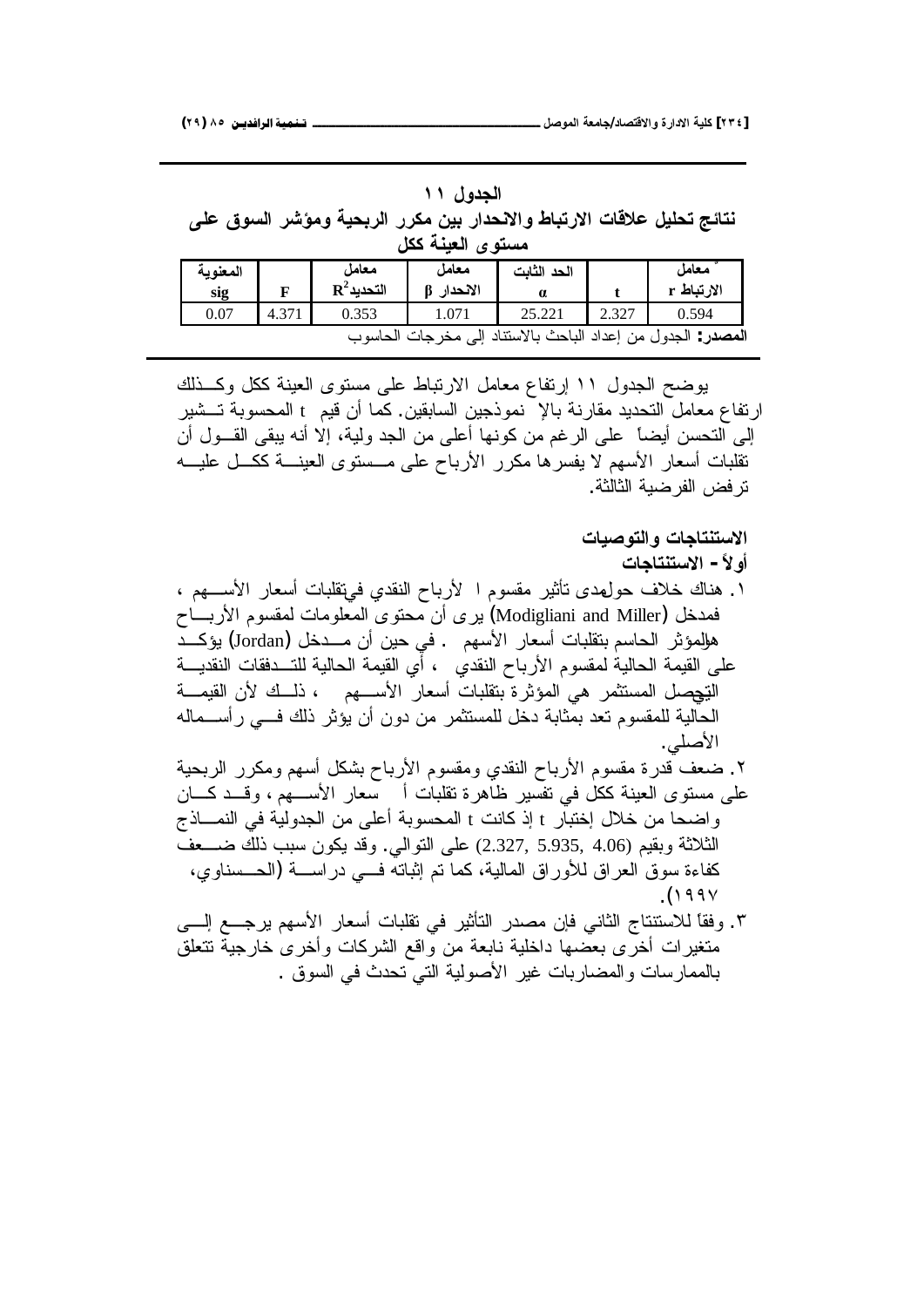## **الجدول ۱۱**

نتائج تحليل علاقات الارتباط والانحدار بين مكرر الربحية ومؤشر السوق عل*ى* مسته ي ا**لعن**ة ككل

| . .                                                                     |       |                        |          |             |       |            |  |  |  |  |
|-------------------------------------------------------------------------|-------|------------------------|----------|-------------|-------|------------|--|--|--|--|
| المعنوية                                                                |       | معامل                  | معامل    | الحد الثابت |       | معامل      |  |  |  |  |
| sig                                                                     |       | $\mathbf{R}^2$ التحديد | الانحدار |             |       | الارتباط r |  |  |  |  |
| 0.07                                                                    | 4.371 | 0.353                  | 1.071    | 25.221      | 2.327 | 0.594      |  |  |  |  |
| ا <b>لمصدر</b> : الجدول من إعداد الباحث بالاستناد إلى<br>مخرجات الحاسوب |       |                        |          |             |       |            |  |  |  |  |

يوضح الجدول ١١ إرتفاع معامل الارتباط على مستوى العينة ككل وكـذلك ارتفاع معامل التحديد مقارنة بالإ نموذجين السابقين. كما أن قيم t المحسوبة تـــشير الِّي التحسن أيضاً على الرغم من كونها أعلى من الجد ولية، إلا أنه يبقى القـــول أن تقلبات أسعار الأسهم لا يفسرها مكرر الأرباح على مــستوى العينـــة ككـــل عليـــه نز فض الفر ضبة الثالثة.

الاستنتاجات والتوصيات

- أو لأ الاستنتاجات
- ا . هناك خلاف حولهدي نأثير مقسوم ا لأرباح النقدي فيiقلبات أسعار الأســـهم ، فهدخل (Modigliani and Miller) بيرى أن محتوى المعلومات لمقسوم الأربــــاح هلِلمؤثر الحاسم بنقلبات أسعار الأسهم . في حين أن مـــدخل (Jordan) يؤكـــد على القيمة الحالية لمقسوم الأرباح النقدي ، أي القيمة الحالية للتــدفقات النقديـــة التِحِصل المستثمر هي المؤثرة بتقلبات أسعار الأســـهم ، ذلــك لأن القيمـــة الحالية للمقسوم نعد بمثابة دخل للمستثمر من دون أن يؤثر ذلك فـــي رأســـماله الأصلي.
- ۲. ضعف قدرة مقسوم الأرباح النقدي ومقسوم الأرباح بشكل أسهم ومكرر الربحية علَّـي مسنَّوي العبينة ككلُّ في نفسير ظاهرة نقلبات أن سعار الأســــهم ، وقـــد كــــان واضحا من خلال إختبار t إذ كانت t المحسوبة أعلى من الجدولية في النمـــاذج الثلاثة وبقيم (4.06 ,5.935 ,5.937 على النوالي. وقد يكون سبب ذلك ضــــعف كفاءة سوق العراق للأوراق المالية، كما نم إثباته فسي دراســـة (الـصــسناوي، .(۱۹۹ $\vee$
- ٣. وفقاً للاستتناج الثاني فإن مصدر التأثير في تقلبات أسعار الأسهم يرجـــع إلـــي متغيرات أخرى بعضها داخلية نابعة من واقع الشركات وأخرى خارجية نتعلق بالممار سات و المضاربات غير الأصولية التي تحدث في السوق .